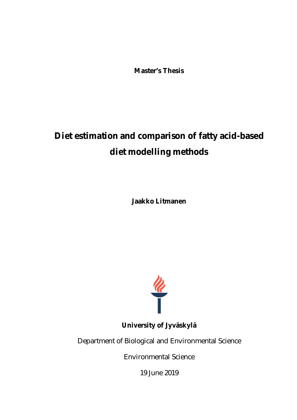**Master's Thesis**

# **Diet estimation and comparison of fatty acid-based diet modelling methods**

**Jaakko Litmanen**



**University of Jyväskylä**

Department of Biological and Environmental Science

Environmental Science

19 June 2019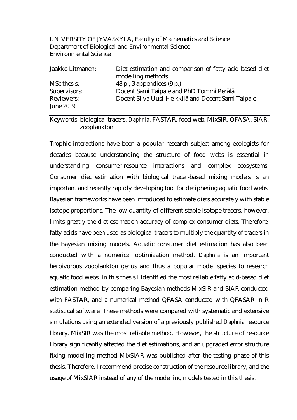### UNIVERSITY OF JYVÄSKYLÄ, Faculty of Mathematics and Science Department of Biological and Environmental Science Environmental Science

| Jaakko Litmanen: | Diet estimation and comparison of fatty acid-based diet<br>modelling methods |
|------------------|------------------------------------------------------------------------------|
|                  |                                                                              |
| MSc thesis:      | 48 p., 3 appendices (9 p.)                                                   |
| Supervisors:     | Docent Sami Taipale and PhD Tommi Perälä                                     |
| Reviewers:       | Docent Silva Uusi-Heikkilä and Docent Sami Taipale                           |
| June 2019        |                                                                              |

Keywords: biological tracers, *Daphnia*, FASTAR, food web, MixSIR, QFASA, SIAR, zooplankton

Trophic interactions have been a popular research subject among ecologists for decades because understanding the structure of food webs is essential in understanding consumer-resource interactions and complex ecosystems. Consumer diet estimation with biological tracer-based mixing models is an important and recently rapidly developing tool for deciphering aquatic food webs. Bayesian frameworks have been introduced to estimate diets accurately with stable isotope proportions. The low quantity of different stable isotope tracers, however, limits greatly the diet estimation accuracy of complex consumer diets. Therefore, fatty acids have been used as biological tracers to multiply the quantity of tracers in the Bayesian mixing models. Aquatic consumer diet estimation has also been conducted with a numerical optimization method. *Daphnia* is an important herbivorous zooplankton genus and thus a popular model species to research aquatic food webs. In this thesis I identified the most reliable fatty acid-based diet estimation method by comparing Bayesian methods MixSIR and SIAR conducted with FASTAR, and a numerical method QFASA conducted with QFASAR in R statistical software. These methods were compared with systematic and extensive simulations using an extended version of a previously published *Daphnia* resource library. MixSIR was the most reliable method. However, the structure of resource library significantly affected the diet estimations, and an upgraded error structure fixing modelling method MixSIAR was published after the testing phase of this thesis. Therefore, I recommend precise construction of the resource library, and the usage of MixSIAR instead of any of the modelling models tested in this thesis.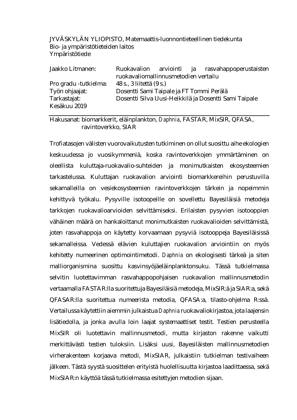# JYVÄSKYLÄN YLIOPISTO, Matemaattis-luonnontieteellinen tiedekunta Bio- ja ympäristötieteiden laitos Ympäristötiede

| Jaakko Litmanen:       |                                          |  | Ruokavalion arviointi ja rasvahappoperustaisten       |
|------------------------|------------------------------------------|--|-------------------------------------------------------|
|                        | ruokavaliomallinnusmetodien vertailu     |  |                                                       |
| Pro gradu - tutkielma: | 48 s., 3 liitettä (9 s.)                 |  |                                                       |
| Työn ohjaajat:         | Dosentti Sami Taipale ja FT Tommi Perälä |  |                                                       |
| Tarkastajat:           |                                          |  | Dosentti Silva Uusi-Heikkilä ja Dosentti Sami Taipale |
| Kesäkuu 2019           |                                          |  |                                                       |

Hakusanat: biomarkkerit, eläinplankton, *Daphnia*, FASTAR, MixSIR, QFASA, ravintoverkko, SIAR

Trofiatasojen välisten vuorovaikutusten tutkiminen on ollut suosittu aihe ekologien keskuudessa jo vuosikymmeniä, koska ravintoverkkojen ymmärtäminen on oleellista kuluttaja-ruokavalio-suhteiden ja monimutkaisten ekosysteemien tarkastelussa. Kuluttajan ruokavalion arviointi biomarkkereihin perustuvilla sekamalleilla on vesiekosysteemien ravintoverkkojen tärkein ja nopeimmin kehittyvä työkalu. Pysyville isotoopeille on sovellettu Bayesiläisiä metodeja tarkkojen ruokavalioarvioiden selvittämiseksi. Erilaisten pysyvien isotooppien vähäinen määrä on hankaloittanut monimutkaisten ruokavalioiden selvittämistä, joten rasvahappoja on käytetty korvaamaan pysyviä isotooppeja Bayesiläisissä sekamalleissa. Vedessä elävien kuluttajien ruokavalion arviointiin on myös kehitetty numeerinen optimointimetodi. *Daphnia* on ekologisesti tärkeä ja siten malliorganismina suosittu kasvinsyöjäeläinplanktonsuku. Tässä tutkielmassa selvitin luotettavimman rasvahappopohjaisen ruokavalion mallinnusmetodin vertaamalla FASTAR:lla suoritettuja Bayesiläisiä metodeja, MixSIR:ä ja SIAR:a, sekä QFASAR:lla suoritettua numeerista metodia, QFASA:a, tilasto-ohjelma R:ssä. Vertailussa käytettiin aiemmin julkaistua *Daphnia* ruokavaliokirjastoa, jota laajensin lisätiedolla, ja jonka avulla loin laajat systemaattiset testit. Testien perusteella MixSIR oli luotettavin mallinnusmetodi, mutta kirjaston rakenne vaikutti merkittävästi testien tuloksiin. Lisäksi uusi, Bayesiläisten mallinnusmetodien virherakenteen korjaava metodi, MixSIAR, julkaistiin tutkielman testivaiheen jälkeen. Tästä syystä suosittelen erityistä huolellisuutta kirjastoa laadittaessa, sekä MixSIAR:n käyttöä tässä tutkielmassa esitettyjen metodien sijaan.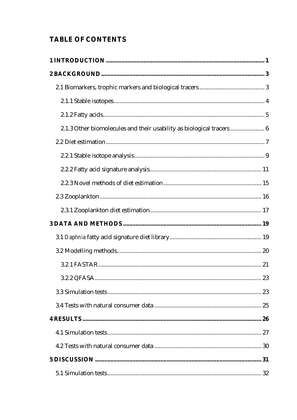# TABLE OF CONTENTS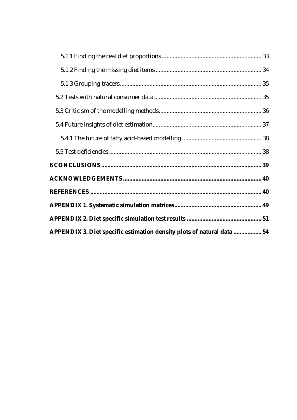| APPENDIX 3. Diet specific estimation density plots of natural data  54 |
|------------------------------------------------------------------------|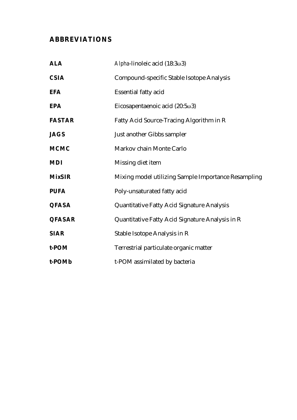# **ABBREVIATIONS**

| <b>ALA</b>    | Alpha-linoleic acid (18:3ω3)                        |
|---------------|-----------------------------------------------------|
| <b>CSIA</b>   | Compound-specific Stable Isotope Analysis           |
| <b>EFA</b>    | Essential fatty acid                                |
| EPA           | Eicosapentaenoic acid $(20:5\omega3)$               |
| <b>FASTAR</b> | Fatty Acid Source-Tracing Algorithm in R            |
| <b>JAGS</b>   | Just another Gibbs sampler                          |
| <b>MCMC</b>   | Markov chain Monte Carlo                            |
| <b>MDI</b>    | Missing diet item                                   |
| <b>MixSIR</b> | Mixing model utilizing Sample Importance Resampling |
| <b>PUFA</b>   | Poly-unsaturated fatty acid                         |
| <b>QFASA</b>  | Quantitative Fatty Acid Signature Analysis          |
| <b>QFASAR</b> | Quantitative Fatty Acid Signature Analysis in R     |
| <b>SIAR</b>   | Stable Isotope Analysis in R                        |
| t-POM         | Terrestrial particulate organic matter              |
| t-POMb        | t-POM assimilated by bacteria                       |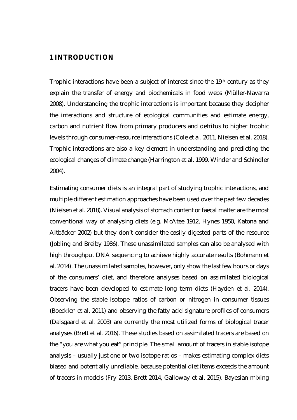# <span id="page-6-0"></span>**1 INTRODUCTION**

Trophic interactions have been a subject of interest since the 19th century as they explain the transfer of energy and biochemicals in food webs (Müller‐Navarra 2008). Understanding the trophic interactions is important because they decipher the interactions and structure of ecological communities and estimate energy, carbon and nutrient flow from primary producers and detritus to higher trophic levels through consumer-resource interactions (Cole et al. 2011, Nielsen et al. 2018). Trophic interactions are also a key element in understanding and predicting the ecological changes of climate change (Harrington et al. 1999, Winder and Schindler 2004).

Estimating consumer diets is an integral part of studying trophic interactions, and multiple different estimation approaches have been used over the past few decades (Nielsen et al. 2018). Visual analysis of stomach content or faecal matter are the most conventional way of analysing diets (e.g. McAtee 1912, Hynes 1950, Katona and Altbäcker 2002) but they don't consider the easily digested parts of the resource (Jobling and Breiby 1986). These unassimilated samples can also be analysed with high throughput DNA sequencing to achieve highly accurate results (Bohmann et al. 2014). The unassimilated samples, however, only show the last few hours or days of the consumers' diet, and therefore analyses based on assimilated biological tracers have been developed to estimate long term diets (Hayden et al. 2014). Observing the stable isotope ratios of carbon or nitrogen in consumer tissues (Boecklen et al. 2011) and observing the fatty acid signature profiles of consumers (Dalsgaard et al. 2003) are currently the most utilized forms of biological tracer analyses (Brett et al. 2016). These studies based on assimilated tracers are based on the "you are what you eat" principle. The small amount of tracers in stable isotope analysis – usually just one or two isotope ratios – makes estimating complex diets biased and potentially unreliable, because potential diet items exceeds the amount of tracers in models (Fry 2013, Brett 2014, Galloway et al. 2015). Bayesian mixing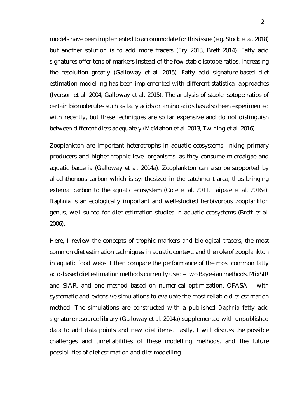models have been implemented to accommodate for this issue (e.g. Stock et al. 2018) but another solution is to add more tracers (Fry 2013, Brett 2014). Fatty acid signatures offer tens of markers instead of the few stable isotope ratios, increasing the resolution greatly (Galloway et al. 2015). Fatty acid signature-based diet estimation modelling has been implemented with different statistical approaches (Iverson et al. 2004, Galloway et al. 2015). The analysis of stable isotope ratios of certain biomolecules such as fatty acids or amino acids has also been experimented with recently, but these techniques are so far expensive and do not distinguish between different diets adequately (McMahon et al. 2013, Twining et al. 2016).

Zooplankton are important heterotrophs in aquatic ecosystems linking primary producers and higher trophic level organisms, as they consume microalgae and aquatic bacteria (Galloway et al. 2014a). Zooplankton can also be supported by allochthonous carbon which is synthesized in the catchment area, thus bringing external carbon to the aquatic ecosystem (Cole et al. 2011, Taipale et al. 2016a). *Daphnia* is an ecologically important and well-studied herbivorous zooplankton genus, well suited for diet estimation studies in aquatic ecosystems (Brett et al. 2006).

Here, I review the concepts of trophic markers and biological tracers, the most common diet estimation techniques in aquatic context, and the role of zooplankton in aquatic food webs. I then compare the performance of the most common fatty acid-based diet estimation methods currently used – two Bayesian methods, MixSIR and SIAR, and one method based on numerical optimization, QFASA – with systematic and extensive simulations to evaluate the most reliable diet estimation method. The simulations are constructed with a published *Daphnia* fatty acid signature resource library (Galloway et al. 2014a) supplemented with unpublished data to add data points and new diet items. Lastly, I will discuss the possible challenges and unreliabilities of these modelling methods, and the future possibilities of diet estimation and diet modelling.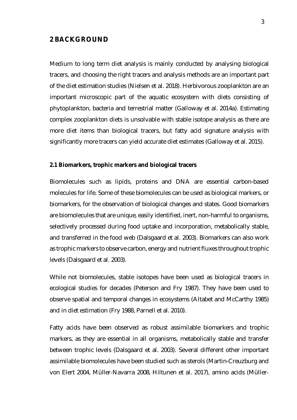# <span id="page-8-0"></span>**2 BACKGROUND**

Medium to long term diet analysis is mainly conducted by analysing biological tracers, and choosing the right tracers and analysis methods are an important part of the diet estimation studies (Nielsen et al. 2018). Herbivorous zooplankton are an important microscopic part of the aquatic ecosystem with diets consisting of phytoplankton, bacteria and terrestrial matter (Galloway et al. 2014a). Estimating complex zooplankton diets is unsolvable with stable isotope analysis as there are more diet items than biological tracers, but fatty acid signature analysis with significantly more tracers can yield accurate diet estimates (Galloway et al. 2015).

#### <span id="page-8-1"></span>**2.1 Biomarkers, trophic markers and biological tracers**

Biomolecules such as lipids, proteins and DNA are essential carbon-based molecules for life. Some of these biomolecules can be used as biological markers, or biomarkers, for the observation of biological changes and states. Good biomarkers are biomolecules that are unique, easily identified, inert, non-harmful to organisms, selectively processed during food uptake and incorporation, metabolically stable, and transferred in the food web (Dalsgaard et al. 2003). Biomarkers can also work as trophic markers to observe carbon, energy and nutrient fluxes throughout trophic levels (Dalsgaard et al. 2003).

While not biomolecules, stable isotopes have been used as biological tracers in ecological studies for decades (Peterson and Fry 1987). They have been used to observe spatial and temporal changes in ecosystems (Altabet and McCarthy 1985) and in diet estimation (Fry 1988, Parnell et al. 2010).

Fatty acids have been observed as robust assimilable biomarkers and trophic markers, as they are essential in all organisms, metabolically stable and transfer between trophic levels (Dalsgaard et al. 2003). Several different other important assimilable biomolecules have been studied such as sterols (Martin-Creuzburg and von Elert 2004, Müller‐Navarra 2008, Hiltunen et al. 2017), amino acids (Müller‐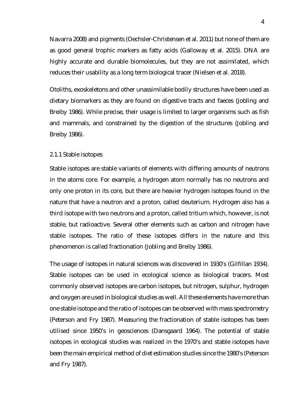Navarra 2008) and pigments (Oechsler-Christensen et al. 2011) but none of them are as good general trophic markers as fatty acids (Galloway et al. 2015). DNA are highly accurate and durable biomolecules, but they are not assimilated, which reduces their usability as a long term biological tracer (Nielsen et al. 2018).

Otoliths, exoskeletons and other unassimilable bodily structures have been used as dietary biomarkers as they are found on digestive tracts and faeces (Jobling and Breiby 1986). While precise, their usage is limited to larger organisms such as fish and mammals, and constrained by the digestion of the structures (Jobling and Breiby 1986).

#### <span id="page-9-0"></span>2.1.1 Stable isotopes

Stable isotopes are stable variants of elements with differing amounts of neutrons in the atoms core. For example, a hydrogen atom normally has no neutrons and only one proton in its core, but there are heavier hydrogen isotopes found in the nature that have a neutron and a proton, called deuterium. Hydrogen also has a third isotope with two neutrons and a proton, called tritium which, however, is not stable, but radioactive. Several other elements such as carbon and nitrogen have stable isotopes. The ratio of these isotopes differs in the nature and this phenomenon is called fractionation (Jobling and Breiby 1986).

The usage of isotopes in natural sciences was discovered in 1930's (Gilfillan 1934). Stable isotopes can be used in ecological science as biological tracers. Most commonly observed isotopes are carbon isotopes, but nitrogen, sulphur, hydrogen and oxygen are used in biological studies as well. All these elements have more than one stable isotope and the ratio of isotopes can be observed with mass spectrometry (Peterson and Fry 1987). Measuring the fractionation of stable isotopes has been utilised since 1950's in geosciences (Dansgaard 1964). The potential of stable isotopes in ecological studies was realized in the 1970's and stable isotopes have been the main empirical method of diet estimation studies since the 1980's (Peterson and Fry 1987).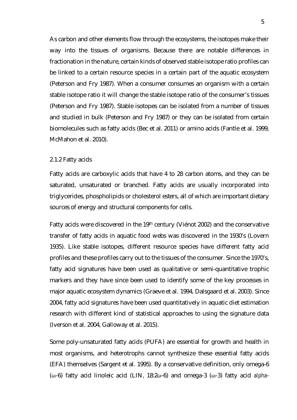As carbon and other elements flow through the ecosystems, the isotopes make their way into the tissues of organisms. Because there are notable differences in fractionation in the nature, certain kinds of observed stable isotope ratio profiles can be linked to a certain resource species in a certain part of the aquatic ecosystem (Peterson and Fry 1987). When a consumer consumes an organism with a certain stable isotope ratio it will change the stable isotope ratio of the consumer's tissues (Peterson and Fry 1987). Stable isotopes can be isolated from a number of tissues and studied in bulk (Peterson and Fry 1987) or they can be isolated from certain biomolecules such as fatty acids (Bec et al. 2011) or amino acids (Fantle et al. 1999, McMahon et al. 2010).

#### <span id="page-10-0"></span>2.1.2 Fatty acids

Fatty acids are carboxylic acids that have 4 to 28 carbon atoms, and they can be saturated, unsaturated or branched. Fatty acids are usually incorporated into triglycerides, phospholipids or cholesterol esters, all of which are important dietary sources of energy and structural components for cells.

Fatty acids were discovered in the 19th century (Viénot 2002) and the conservative transfer of fatty acids in aquatic food webs was discovered in the 1930's (Lovern 1935). Like stable isotopes, different resource species have different fatty acid profiles and these profiles carry out to the tissues of the consumer. Since the 1970's, fatty acid signatures have been used as qualitative or semi-quantitative trophic markers and they have since been used to identify some of the key processes in major aquatic ecosystem dynamics (Graeve et al. 1994, Dalsgaard et al. 2003). Since 2004, fatty acid signatures have been used quantitatively in aquatic diet estimation research with different kind of statistical approaches to using the signature data (Iverson et al. 2004, Galloway et al. 2015).

Some poly-unsaturated fatty acids (PUFA) are essential for growth and health in most organisms, and heterotrophs cannot synthesize these essential fatty acids (EFA) themselves (Sargent et al. 1995). By a conservative definition, only omega-6 (ω-6) fatty acid linoleic acid (LIN, 18:2ω-6) and omega-3 (ω-3) fatty acid *alpha*-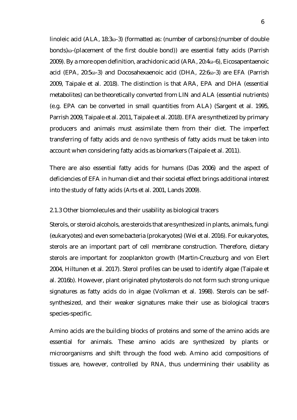linoleic acid (ALA, 18:3ω-3) (formatted as: (number of carbons):(number of double bonds)ω-(placement of the first double bond)) are essential fatty acids (Parrish 2009). By a more open definition, arachidonic acid (ARA, 20:4ω-6), Eicosapentaenoic acid (EPA, 20:5ω-3) and Docosahexaenoic acid (DHA, 22:6ω-3) are EFA (Parrish 2009, Taipale et al. 2018). The distinction is that ARA, EPA and DHA (essential metabolites) can be theoretically converted from LIN and ALA (essential nutrients) (e.g. EPA can be converted in small quantities from ALA) (Sargent et al. 1995, Parrish 2009, Taipale et al. 2011, Taipale et al. 2018). EFA are synthetized by primary producers and animals must assimilate them from their diet. The imperfect transferring of fatty acids and *de novo* synthesis of fatty acids must be taken into account when considering fatty acids as biomarkers (Taipale et al. 2011).

There are also essential fatty acids for humans (Das 2006) and the aspect of deficiencies of EFA in human diet and their societal effect brings additional interest into the study of fatty acids (Arts et al. 2001, Lands 2009).

#### <span id="page-11-0"></span>2.1.3 Other biomolecules and their usability as biological tracers

Sterols, or steroid alcohols, are steroids that are synthesized in plants, animals, fungi (eukaryotes) and even some bacteria (prokaryotes) (Wei et al. 2016). For eukaryotes, sterols are an important part of cell membrane construction. Therefore, dietary sterols are important for zooplankton growth (Martin-Creuzburg and von Elert 2004, Hiltunen et al. 2017). Sterol profiles can be used to identify algae (Taipale et al. 2016b). However, plant originated phytosterols do not form such strong unique signatures as fatty acids do in algae (Volkman et al. 1998). Sterols can be selfsynthesized, and their weaker signatures make their use as biological tracers species-specific.

Amino acids are the building blocks of proteins and some of the amino acids are essential for animals. These amino acids are synthesized by plants or microorganisms and shift through the food web. Amino acid compositions of tissues are, however, controlled by RNA, thus undermining their usability as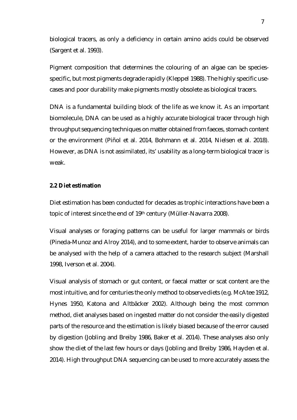biological tracers, as only a deficiency in certain amino acids could be observed (Sargent et al. 1993).

Pigment composition that determines the colouring of an algae can be speciesspecific, but most pigments degrade rapidly (Kleppel 1988). The highly specific usecases and poor durability make pigments mostly obsolete as biological tracers.

DNA is a fundamental building block of the life as we know it. As an important biomolecule, DNA can be used as a highly accurate biological tracer through high throughput sequencing techniques on matter obtained from faeces, stomach content or the environment (Piñol et al. 2014, Bohmann et al. 2014, Nielsen et al. 2018). However, as DNA is not assimilated, its' usability as a long-term biological tracer is weak.

#### <span id="page-12-0"></span>**2.2 Diet estimation**

Diet estimation has been conducted for decades as trophic interactions have been a topic of interest since the end of 19th century (Müller-Navarra 2008).

Visual analyses or foraging patterns can be useful for larger mammals or birds (Pineda-Munoz and Alroy 2014), and to some extent, harder to observe animals can be analysed with the help of a camera attached to the research subject (Marshall 1998, Iverson et al. 2004).

Visual analysis of stomach or gut content, or faecal matter or scat content are the most intuitive, and for centuries the only method to observe diets (e.g. McAtee 1912, Hynes 1950, Katona and Altbäcker 2002). Although being the most common method, diet analyses based on ingested matter do not consider the easily digested parts of the resource and the estimation is likely biased because of the error caused by digestion (Jobling and Breiby 1986, Baker et al. 2014). These analyses also only show the diet of the last few hours or days (Jobling and Breiby 1986, Hayden et al. 2014). High throughput DNA sequencing can be used to more accurately assess the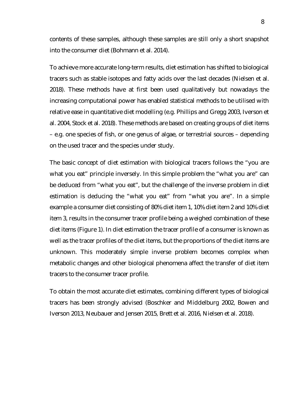contents of these samples, although these samples are still only a short snapshot into the consumer diet (Bohmann et al. 2014).

To achieve more accurate long-term results, diet estimation has shifted to biological tracers such as stable isotopes and fatty acids over the last decades (Nielsen et al. 2018). These methods have at first been used qualitatively but nowadays the increasing computational power has enabled statistical methods to be utilised with relative ease in quantitative diet modelling (e.g. Phillips and Gregg 2003, Iverson et al. 2004, Stock et al. 2018). These methods are based on creating groups of diet items – e.g. one species of fish, or one genus of algae, or terrestrial sources – depending on the used tracer and the species under study.

The basic concept of diet estimation with biological tracers follows the "you are what you eat" principle inversely. In this simple problem the "what you are" can be deduced from "what you eat", but the challenge of the inverse problem in diet estimation is deducing the "what you eat" from "what you are". In a simple example a consumer diet consisting of 80% diet item 1, 10% diet item 2 and 10% diet item 3, results in the consumer tracer profile being a weighed combination of these diet items (Figure 1). In diet estimation the tracer profile of a consumer is known as well as the tracer profiles of the diet items, but the proportions of the diet items are unknown. This moderately simple inverse problem becomes complex when metabolic changes and other biological phenomena affect the transfer of diet item tracers to the consumer tracer profile.

To obtain the most accurate diet estimates, combining different types of biological tracers has been strongly advised (Boschker and Middelburg 2002, Bowen and Iverson 2013, Neubauer and Jensen 2015, Brett et al. 2016, Nielsen et al. 2018).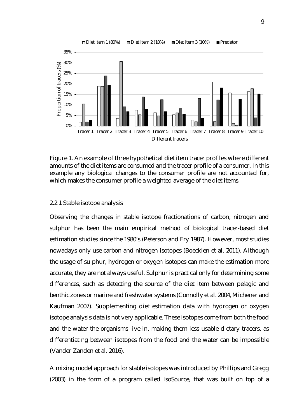

Figure 1. An example of three hypothetical diet item tracer profiles where different amounts of the diet items are consumed and the tracer profile of a consumer. In this example any biological changes to the consumer profile are not accounted for, which makes the consumer profile a weighted average of the diet items.

# <span id="page-14-0"></span>2.2.1 Stable isotope analysis

Observing the changes in stable isotope fractionations of carbon, nitrogen and sulphur has been the main empirical method of biological tracer-based diet estimation studies since the 1980's (Peterson and Fry 1987). However, most studies nowadays only use carbon and nitrogen isotopes (Boecklen et al. 2011). Although the usage of sulphur, hydrogen or oxygen isotopes can make the estimation more accurate, they are not always useful. Sulphur is practical only for determining some differences, such as detecting the source of the diet item between pelagic and benthic zones or marine and freshwater systems (Connolly et al. 2004, Michener and Kaufman 2007). Supplementing diet estimation data with hydrogen or oxygen isotope analysis data is not very applicable. These isotopes come from both the food and the water the organisms live in, making them less usable dietary tracers, as differentiating between isotopes from the food and the water can be impossible (Vander Zanden et al. 2016).

A mixing model approach for stable isotopes was introduced by Phillips and Gregg (2003) in the form of a program called IsoSource, that was built on top of a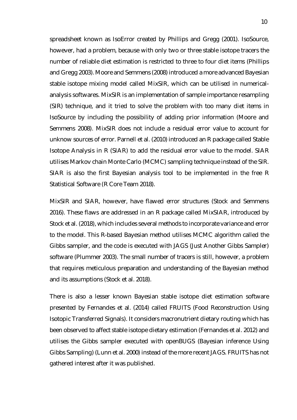spreadsheet known as IsoError created by Phillips and Gregg (2001). IsoSource, however, had a problem, because with only two or three stable isotope tracers the number of reliable diet estimation is restricted to three to four diet items (Phillips and Gregg 2003). Moore and Semmens (2008) introduced a more advanced Bayesian stable isotope mixing model called MixSIR, which can be utilised in numericalanalysis softwares. MixSIR is an implementation of sample importance resampling (SIR) technique, and it tried to solve the problem with too many diet items in IsoSource by including the possibility of adding prior information (Moore and Semmens 2008). MixSIR does not include a residual error value to account for unknow sources of error. Parnell et al. (2010) introduced an R package called Stable Isotope Analysis in R (SIAR) to add the residual error value to the model. SIAR utilises Markov chain Monte Carlo (MCMC) sampling technique instead of the SIR. SIAR is also the first Bayesian analysis tool to be implemented in the free R Statistical Software (R Core Team 2018).

MixSIR and SIAR, however, have flawed error structures (Stock and Semmens 2016). These flaws are addressed in an R package called MixSIAR, introduced by Stock et al. (2018), which includes several methods to incorporate variance and error to the model. This R-based Bayesian method utilises MCMC algorithm called the Gibbs sampler, and the code is executed with JAGS (Just Another Gibbs Sampler) software (Plummer 2003). The small number of tracers is still, however, a problem that requires meticulous preparation and understanding of the Bayesian method and its assumptions (Stock et al. 2018).

There is also a lesser known Bayesian stable isotope diet estimation software presented by Fernandes et al. (2014) called FRUITS (Food Reconstruction Using Isotopic Transferred Signals). It considers macronutrient dietary routing which has been observed to affect stable isotope dietary estimation (Fernandes et al. 2012) and utilises the Gibbs sampler executed with openBUGS (Bayesian inference Using Gibbs Sampling) (Lunn et al. 2000) instead of the more recent JAGS. FRUITS has not gathered interest after it was published.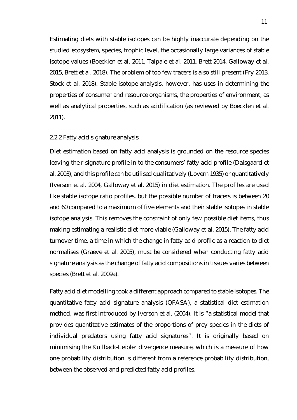Estimating diets with stable isotopes can be highly inaccurate depending on the studied ecosystem, species, trophic level, the occasionally large variances of stable isotope values (Boecklen et al. 2011, Taipale et al. 2011, Brett 2014, Galloway et al. 2015, Brett et al. 2018). The problem of too few tracers is also still present (Fry 2013, Stock et al. 2018). Stable isotope analysis, however, has uses in determining the properties of consumer and resource organisms, the properties of environment, as well as analytical properties, such as acidification (as reviewed by Boecklen et al. 2011).

#### <span id="page-16-0"></span>2.2.2 Fatty acid signature analysis

Diet estimation based on fatty acid analysis is grounded on the resource species leaving their signature profile in to the consumers' fatty acid profile (Dalsgaard et al. 2003), and this profile can be utilised qualitatively (Lovern 1935) or quantitatively (Iverson et al. 2004, Galloway et al. 2015) in diet estimation. The profiles are used like stable isotope ratio profiles, but the possible number of tracers is between 20 and 60 compared to a maximum of five elements and their stable isotopes in stable isotope analysis. This removes the constraint of only few possible diet items, thus making estimating a realistic diet more viable (Galloway et al. 2015). The fatty acid turnover time, a time in which the change in fatty acid profile as a reaction to diet normalises (Graeve et al. 2005), must be considered when conducting fatty acid signature analysis as the change of fatty acid compositions in tissues varies between species (Brett et al. 2009a).

Fatty acid diet modelling took a different approach compared to stable isotopes. The quantitative fatty acid signature analysis (QFASA), a statistical diet estimation method, was first introduced by Iverson et al. (2004). It is "a statistical model that provides quantitative estimates of the proportions of prey species in the diets of individual predators using fatty acid signatures". It is originally based on minimising the Kullback-Leibler divergence measure, which is a measure of how one probability distribution is different from a reference probability distribution, between the observed and predicted fatty acid profiles.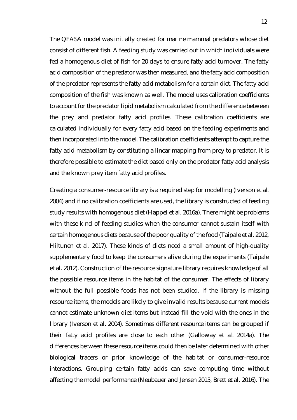The QFASA model was initially created for marine mammal predators whose diet consist of different fish. A feeding study was carried out in which individuals were fed a homogenous diet of fish for 20 days to ensure fatty acid turnover. The fatty acid composition of the predator was then measured, and the fatty acid composition of the predator represents the fatty acid metabolism for a certain diet. The fatty acid composition of the fish was known as well. The model uses calibration coefficients to account for the predator lipid metabolism calculated from the difference between the prey and predator fatty acid profiles. These calibration coefficients are calculated individually for every fatty acid based on the feeding experiments and then incorporated into the model. The calibration coefficients attempt to capture the fatty acid metabolism by constituting a linear mapping from prey to predator. It is therefore possible to estimate the diet based only on the predator fatty acid analysis and the known prey item fatty acid profiles.

Creating a consumer-resource library is a required step for modelling (Iverson et al. 2004) and if no calibration coefficients are used, the library is constructed of feeding study results with homogenous diet (Happel et al. 2016a). There might be problems with these kind of feeding studies when the consumer cannot sustain itself with certain homogenous diets because of the poor quality of the food (Taipale et al. 2012, Hiltunen et al. 2017). These kinds of diets need a small amount of high-quality supplementary food to keep the consumers alive during the experiments (Taipale et al. 2012). Construction of the resource signature library requires knowledge of all the possible resource items in the habitat of the consumer. The effects of library without the full possible foods has not been studied. If the library is missing resource items, the models are likely to give invalid results because current models cannot estimate unknown diet items but instead fill the void with the ones in the library (Iverson et al. 2004). Sometimes different resource items can be grouped if their fatty acid profiles are close to each other (Galloway et al. 2014a). The differences between these resource items could then be later determined with other biological tracers or prior knowledge of the habitat or consumer-resource interactions. Grouping certain fatty acids can save computing time without affecting the model performance (Neubauer and Jensen 2015, Brett et al. 2016). The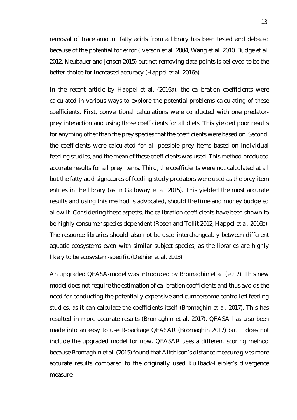removal of trace amount fatty acids from a library has been tested and debated because of the potential for error (Iverson et al. 2004, Wang et al. 2010, Budge et al. 2012, Neubauer and Jensen 2015) but not removing data points is believed to be the better choice for increased accuracy (Happel et al. 2016a).

In the recent article by Happel et al. (2016a), the calibration coefficients were calculated in various ways to explore the potential problems calculating of these coefficients. First, conventional calculations were conducted with one predatorprey interaction and using those coefficients for all diets. This yielded poor results for anything other than the prey species that the coefficients were based on. Second, the coefficients were calculated for all possible prey items based on individual feeding studies, and the mean of these coefficients was used. This method produced accurate results for all prey items. Third, the coefficients were not calculated at all but the fatty acid signatures of feeding study predators were used as the prey item entries in the library (as in Galloway et al. 2015). This yielded the most accurate results and using this method is advocated, should the time and money budgeted allow it. Considering these aspects, the calibration coefficients have been shown to be highly consumer species dependent (Rosen and Tollit 2012, Happel et al. 2016b). The resource libraries should also not be used interchangeably between different aquatic ecosystems even with similar subject species, as the libraries are highly likely to be ecosystem-specific (Dethier et al. 2013).

An upgraded QFASA-model was introduced by Bromaghin et al. (2017). This new model does not require the estimation of calibration coefficients and thus avoids the need for conducting the potentially expensive and cumbersome controlled feeding studies, as it can calculate the coefficients itself (Bromaghin et al. 2017). This has resulted in more accurate results (Bromaghin et al. 2017). QFASA has also been made into an easy to use R-package QFASAR (Bromaghin 2017) but it does not include the upgraded model for now. QFASAR uses a different scoring method because Bromaghin et al. (2015) found that Aitchison's distance measure gives more accurate results compared to the originally used Kullback-Leibler's divergence measure.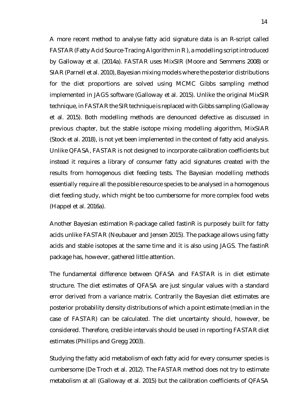A more recent method to analyse fatty acid signature data is an R-script called FASTAR (Fatty Acid Source-Tracing Algorithm in R ), a modelling script introduced by Galloway et al. (2014a). FASTAR uses MixSIR (Moore and Semmens 2008) or SIAR (Parnell et al. 2010), Bayesian mixing models where the posterior distributions for the diet proportions are solved using MCMC Gibbs sampling method implemented in JAGS software (Galloway et al. 2015). Unlike the original MixSIR technique, in FASTAR the SIR technique is replaced with Gibbs sampling (Galloway et al. 2015). Both modelling methods are denounced defective as discussed in previous chapter, but the stable isotope mixing modelling algorithm, MixSIAR (Stock et al. 2018), is not yet been implemented in the context of fatty acid analysis. Unlike QFASA, FASTAR is not designed to incorporate calibration coefficients but instead it requires a library of consumer fatty acid signatures created with the results from homogenous diet feeding tests. The Bayesian modelling methods essentially require all the possible resource species to be analysed in a homogenous diet feeding study, which might be too cumbersome for more complex food webs (Happel et al. 2016a).

Another Bayesian estimation R-package called fastinR is purposely built for fatty acids unlike FASTAR (Neubauer and Jensen 2015). The package allows using fatty acids and stable isotopes at the same time and it is also using JAGS. The fastinR package has, however, gathered little attention.

The fundamental difference between QFASA and FASTAR is in diet estimate structure. The diet estimates of QFASA are just singular values with a standard error derived from a variance matrix. Contrarily the Bayesian diet estimates are posterior probability density distributions of which a point estimate (median in the case of FASTAR) can be calculated. The diet uncertainty should, however, be considered. Therefore, credible intervals should be used in reporting FASTAR diet estimates (Phillips and Gregg 2003).

Studying the fatty acid metabolism of each fatty acid for every consumer species is cumbersome (De Troch et al. 2012). The FASTAR method does not try to estimate metabolism at all (Galloway et al. 2015) but the calibration coefficients of QFASA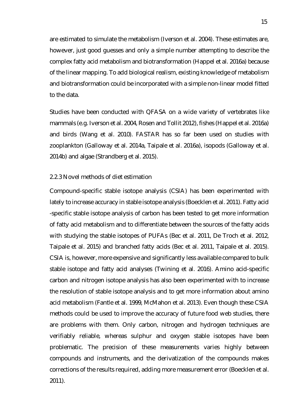are estimated to simulate the metabolism (Iverson et al. 2004). These estimates are, however, just good guesses and only a simple number attempting to describe the complex fatty acid metabolism and biotransformation (Happel et al. 2016a) because of the linear mapping. To add biological realism, existing knowledge of metabolism and biotransformation could be incorporated with a simple non-linear model fitted to the data.

Studies have been conducted with QFASA on a wide variety of vertebrates like mammals (e.g. Iverson et al. 2004, Rosen and Tollit 2012), fishes (Happel et al. 2016a) and birds (Wang et al. 2010). FASTAR has so far been used on studies with zooplankton (Galloway et al. 2014a, Taipale et al. 2016a), isopods (Galloway et al. 2014b) and algae (Strandberg et al. 2015).

#### <span id="page-20-0"></span>2.2.3 Novel methods of diet estimation

Compound-specific stable isotope analysis (CSIA) has been experimented with lately to increase accuracy in stable isotope analysis (Boecklen et al. 2011). Fatty acid -specific stable isotope analysis of carbon has been tested to get more information of fatty acid metabolism and to differentiate between the sources of the fatty acids with studying the stable isotopes of PUFAs (Bec et al. 2011, De Troch et al. 2012, Taipale et al. 2015) and branched fatty acids (Bec et al. 2011, Taipale et al. 2015). CSIA is, however, more expensive and significantly less available compared to bulk stable isotope and fatty acid analyses (Twining et al. 2016). Amino acid-specific carbon and nitrogen isotope analysis has also been experimented with to increase the resolution of stable isotope analysis and to get more information about amino acid metabolism (Fantle et al. 1999, McMahon et al. 2013). Even though these CSIA methods could be used to improve the accuracy of future food web studies, there are problems with them. Only carbon, nitrogen and hydrogen techniques are verifiably reliable, whereas sulphur and oxygen stable isotopes have been problematic. The precision of these measurements varies highly between compounds and instruments, and the derivatization of the compounds makes corrections of the results required, adding more measurement error (Boecklen et al. 2011).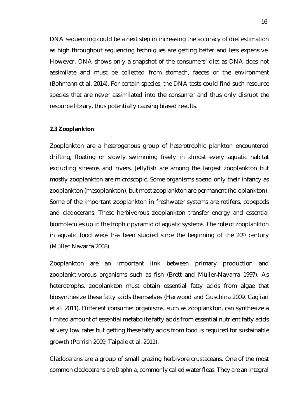DNA sequencing could be a next step in increasing the accuracy of diet estimation as high throughput sequencing techniques are getting better and less expensive. However, DNA shows only a snapshot of the consumers' diet as DNA does not assimilate and must be collected from stomach, faeces or the environment (Bohmann et al. 2014). For certain species, the DNA tests could find such resource species that are never assimilated into the consumer and thus only disrupt the resource library, thus potentially causing biased results.

#### <span id="page-21-0"></span>**2.3 Zooplankton**

Zooplankton are a heterogenous group of heterotrophic plankton encountered drifting, floating or slowly swimming freely in almost every aquatic habitat excluding streams and rivers. Jellyfish are among the largest zooplankton but mostly zooplankton are microscopic. Some organisms spend only their infancy as zooplankton (mesoplankton), but most zooplankton are permanent (holoplankton). Some of the important zooplankton in freshwater systems are rotifers, copepods and cladocerans. These herbivorous zooplankton transfer energy and essential biomolecules up in the trophic pyramid of aquatic systems. The role of zooplankton in aquatic food webs has been studied since the beginning of the  $20<sup>th</sup>$  century (Müller‐Navarra 2008).

Zooplankton are an important link between primary production and zooplanktivorous organisms such as fish (Brett and Müller‐Navarra 1997). As heterotrophs, zooplankton must obtain essential fatty acids from algae that biosynthesize these fatty acids themselves (Harwood and Guschina 2009, Cagliari et al. 2011). Different consumer organisms, such as zooplankton, can synthesize a limited amount of essential metabolite fatty acids from essential nutrient fatty acids at very low rates but getting these fatty acids from food is required for sustainable growth (Parrish 2009, Taipale et al. 2011).

Cladocerans are a group of small grazing herbivore crustaceans. One of the most common cladocerans are *Daphnia*, commonly called water fleas. They are an integral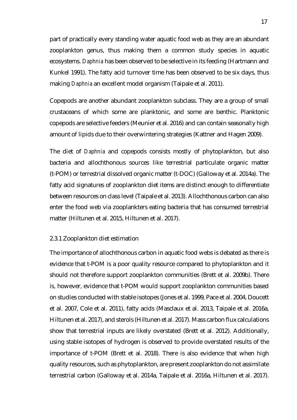part of practically every standing water aquatic food web as they are an abundant zooplankton genus, thus making them a common study species in aquatic ecosystems. *Daphnia* has been observed to be selective in its feeding (Hartmann and Kunkel 1991). The fatty acid turnover time has been observed to be six days, thus making *Daphnia* an excellent model organism (Taipale et al. 2011).

Copepods are another abundant zooplankton subclass. They are a group of small crustaceans of which some are planktonic, and some are benthic. Planktonic copepods are selective feeders (Meunier et al. 2016) and can contain seasonally high amount of lipids due to their overwintering strategies (Kattner and Hagen 2009).

The diet of *Daphnia* and copepods consists mostly of phytoplankton, but also bacteria and allochthonous sources like terrestrial particulate organic matter (t-POM) or terrestrial dissolved organic matter (t-DOC) (Galloway et al. 2014a). The fatty acid signatures of zooplankton diet items are distinct enough to differentiate between resources on class level (Taipale et al. 2013). Allochthonous carbon can also enter the food web via zooplankters eating bacteria that has consumed terrestrial matter (Hiltunen et al. 2015, Hiltunen et al. 2017).

#### <span id="page-22-0"></span>2.3.1 Zooplankton diet estimation

The importance of allochthonous carbon in aquatic food webs is debated as there is evidence that t-POM is a poor quality resource compared to phytoplankton and it should not therefore support zooplankton communities (Brett et al. 2009b). There is, however, evidence that t-POM would support zooplankton communities based on studies conducted with stable isotopes (Jones et al. 1999, Pace et al. 2004, Doucett et al. 2007, Cole et al. 2011), fatty acids (Masclaux et al. 2013, Taipale et al. 2016a, Hiltunen et al. 2017), and sterols (Hiltunen et al. 2017). Mass carbon flux calculations show that terrestrial inputs are likely overstated (Brett et al. 2012). Additionally, using stable isotopes of hydrogen is observed to provide overstated results of the importance of t-POM (Brett et al. 2018). There is also evidence that when high quality resources, such as phytoplankton, are present zooplankton do not assimilate terrestrial carbon (Galloway et al. 2014a, Taipale et al. 2016a, Hiltunen et al. 2017).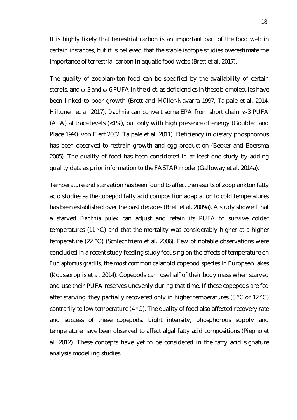It is highly likely that terrestrial carbon is an important part of the food web in certain instances, but it is believed that the stable isotope studies overestimate the importance of terrestrial carbon in aquatic food webs (Brett et al. 2017).

The quality of zooplankton food can be specified by the availability of certain sterols, and  $\omega$ -3 and  $\omega$ -6 PUFA in the diet, as deficiencies in these biomolecules have been linked to poor growth (Brett and Müller‐Navarra 1997, Taipale et al. 2014, Hiltunen et al. 2017). *Daphnia* can convert some EPA from short chain ω-3 PUFA (ALA) at trace levels (<1%), but only with high presence of energy (Goulden and Place 1990, von Elert 2002, Taipale et al. 2011). Deficiency in dietary phosphorous has been observed to restrain growth and egg production (Becker and Boersma 2005). The quality of food has been considered in at least one study by adding quality data as prior information to the FASTAR model (Galloway et al. 2014a).

Temperature and starvation has been found to affect the results of zooplankton fatty acid studies as the copepod fatty acid composition adaptation to cold temperatures has been established over the past decades (Brett et al. 2009a). A study showed that a starved *Daphnia pulex* can adjust and retain its PUFA to survive colder temperatures (11 °C) and that the mortality was considerably higher at a higher temperature (22 °C) (Schlechtriem et al. 2006). Few of notable observations were concluded in a recent study feeding study focusing on the effects of temperature on *Eudiaptomus gracilis*, the most common calanoid copepod species in European lakes (Koussoroplis et al. 2014). Copepods can lose half of their body mass when starved and use their PUFA reserves unevenly during that time. If these copepods are fed after starving, they partially recovered only in higher temperatures (8  $\degree$ C or 12  $\degree$ C) contrarily to low temperature (4 °C). The quality of food also affected recovery rate and success of these copepods. Light intensity, phosphorous supply and temperature have been observed to affect algal fatty acid compositions (Piepho et al. 2012). These concepts have yet to be considered in the fatty acid signature analysis modelling studies.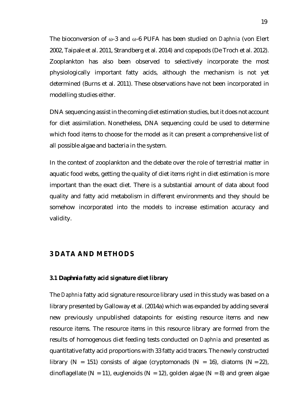The bioconversion of ω-3 and ω-6 PUFA has been studied on *Daphnia* (von Elert 2002, Taipale et al. 2011, Strandberg et al. 2014) and copepods (De Troch et al. 2012). Zooplankton has also been observed to selectively incorporate the most physiologically important fatty acids, although the mechanism is not yet determined (Burns et al. 2011). These observations have not been incorporated in modelling studies either.

DNA sequencing assist in the coming diet estimation studies, but it does not account for diet assimilation. Nonetheless, DNA sequencing could be used to determine which food items to choose for the model as it can present a comprehensive list of all possible algae and bacteria in the system.

In the context of zooplankton and the debate over the role of terrestrial matter in aquatic food webs, getting the quality of diet items right in diet estimation is more important than the exact diet. There is a substantial amount of data about food quality and fatty acid metabolism in different environments and they should be somehow incorporated into the models to increase estimation accuracy and validity.

# <span id="page-24-0"></span>**3 DATA AND METHODS**

# <span id="page-24-1"></span>**3.1** *Daphnia* **fatty acid signature diet library**

The *Daphnia* fatty acid signature resource library used in this study was based on a library presented by Galloway et al. (2014a) which was expanded by adding several new previously unpublished datapoints for existing resource items and new resource items. The resource items in this resource library are formed from the results of homogenous diet feeding tests conducted on *Daphnia* and presented as quantitative fatty acid proportions with 33 fatty acid tracers. The newly constructed library (N = 151) consists of algae (cryptomonads (N = 16), diatoms (N = 22), dinoflagellate (N = 11), euglenoids (N = 12), golden algae (N = 8) and green algae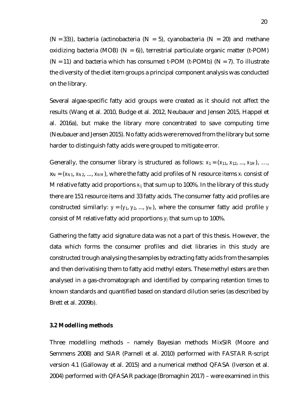$(N = 33)$ ), bacteria (actinobacteria  $(N = 5)$ , cyanobacteria  $(N = 20)$  and methane oxidizing bacteria (MOB)  $(N = 6)$ , terrestrial particulate organic matter (t-POM)  $(N = 11)$  and bacteria which has consumed t-POM (t-POMb)  $(N = 7)$ . To illustrate the diversity of the diet item groups a principal component analysis was conducted on the library.

Several algae-specific fatty acid groups were created as it should not affect the results (Wang et al. 2010, Budge et al. 2012, Neubauer and Jensen 2015, Happel et al. 2016a), but make the library more concentrated to save computing time (Neubauer and Jensen 2015). No fatty acids were removed from the library but some harder to distinguish fatty acids were grouped to mitigate error.

Generally, the consumer library is structured as follows:  $x_1 = (x_{11}, x_{12}, ..., x_{1M})$ , ...,  $x_N = (x_{N1}, x_{N2}, ..., x_{NM})$ , where the fatty acid profiles of N resource items  $x_i$  consist of M relative fatty acid proportions *xij* that sum up to 100%. In the library of this study there are 151 resource items and 33 fatty acids. The consumer fatty acid profiles are constructed similarly:  $y = (y_1, y_2, ..., y_M)$ , where the consumer fatty acid profile y consist of M relative fatty acid proportions *yj* that sum up to 100%.

Gathering the fatty acid signature data was not a part of this thesis. However, the data which forms the consumer profiles and diet libraries in this study are constructed trough analysing the samples by extracting fatty acids from the samples and then derivatising them to fatty acid methyl esters. These methyl esters are then analysed in a gas-chromatograph and identified by comparing retention times to known standards and quantified based on standard dilution series (as described by Brett et al. 2009b).

#### <span id="page-25-0"></span>**3.2 Modelling methods**

Three modelling methods – namely Bayesian methods MixSIR (Moore and Semmens 2008) and SIAR (Parnell et al. 2010) performed with FASTAR R-script version 4.1 (Galloway et al. 2015) and a numerical method QFASA (Iverson et al. 2004) performed with QFASAR package (Bromaghin 2017) – were examined in this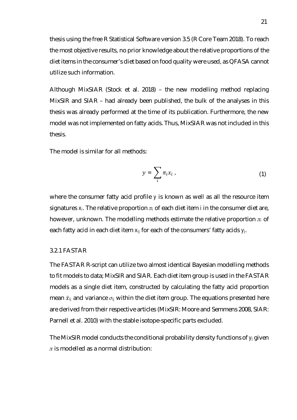thesis using the free R Statistical Software version 3.5 (R Core Team 2018). To reach the most objective results, no prior knowledge about the relative proportions of the diet items in the consumer's diet based on food quality were used, as QFASA cannot utilize such information.

Although MixSIAR (Stock et al. 2018) – the new modelling method replacing MixSIR and SIAR – had already been published, the bulk of the analyses in this thesis was already performed at the time of its publication. Furthermore, the new model was not implemented on fatty acids. Thus, MixSIAR was not included in this thesis.

The model is similar for all methods:

$$
y = \sum_{i} \pi_{i} x_{i} \tag{1}
$$

where the consumer fatty acid profile *y* is known as well as all the resource item signatures *xi*. The relative proportion *πi* of each diet item *i* in the consumer diet are, however, unknown. The modelling methods estimate the relative proportion *πi* of each fatty acid in each diet item *xij* for each of the consumers' fatty acids *yj*.

# <span id="page-26-0"></span>3.2.1 FASTAR

The FASTAR R-script can utilize two almost identical Bayesian modelling methods to fit models to data; MixSIR and SIAR. Each diet item group is used in the FASTAR models as a single diet item, constructed by calculating the fatty acid proportion mean  $\bar{x}_{ii}$  and variance  $\sigma_{ii}$  within the diet item group. The equations presented here are derived from their respective articles (MixSIR: Moore and Semmens 2008, SIAR: Parnell et al. 2010) with the stable isotope-specific parts excluded.

The MixSIR model conducts the conditional probability density functions of *yj* given *π* is modelled as a normal distribution: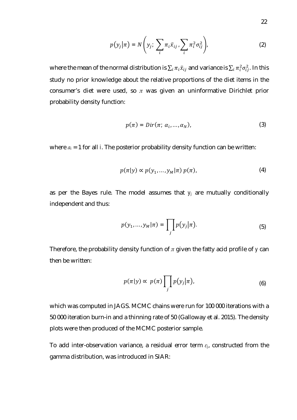$$
p(y_j|\pi) = N\left(y_j; \sum_i \pi_i \bar{x}_{ij} \sum_i \pi_i^2 \sigma_{ij}^2\right)
$$
 (2)

where the mean of the normal distribution is  $\Sigma_i\,\pi_i\bar x_{ij}$  and variance is  $\Sigma_i\,\pi_i^2\sigma_{ij}^2.$  In this study no prior knowledge about the relative proportions of the diet items in the consumer's diet were used, so *π* was given an uninformative Dirichlet prior probability density function:

$$
p(\pi) = Dir(\pi; \, \alpha_i, \ldots, \alpha_N), \tag{3}
$$

where *αi* = 1 for all *i*. The posterior probability density function can be written:

$$
p(\pi|y) \propto p(y_1, \ldots, y_M|\pi) p(\pi), \qquad (4)
$$

as per the Bayes rule. The model assumes that *yj* are mutually conditionally independent and thus:

$$
p(y_1,\ldots,y_M|\pi) = \prod_j p(y_j|\pi). \tag{5}
$$

Therefore, the probability density function of *π* given the fatty acid profile of *y* can then be written:

$$
p(\pi|y) \propto p(\pi) \prod_{j} p(y_j|\pi), \tag{6}
$$

which was computed in JAGS. MCMC chains were run for 100 000 iterations with a 50 000 iteration burn-in and a thinning rate of 50 (Galloway et al. 2015). The density plots were then produced of the MCMC posterior sample.

To add inter-observation variance, a residual error term *εj*, constructed from the gamma distribution, was introduced in SIAR: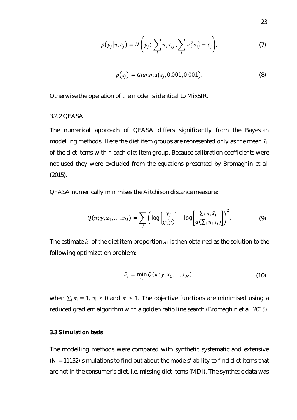$$
p(y_j | \pi, \varepsilon_j) = N\left(y_j; \sum_i \pi_i \bar{x}_{ij} \sum_i \pi_i^2 \sigma_{ij}^2 + \varepsilon_j\right), \tag{7}
$$

$$
p(\varepsilon_j) = Gamma(\varepsilon_{j.} 0.001, 0.001).
$$
 (8)

Otherwise the operation of the model is identical to MixSIR.

#### <span id="page-28-0"></span>3.2.2 QFASA

The numerical approach of QFASA differs significantly from the Bayesian modelling methods. Here the diet item groups are represented only as the mean  $\bar{x}_{ij}$ of the diet items within each diet item group. Because calibration coefficients were not used they were excluded from the equations presented by Bromaghin et al. (2015).

QFASA numerically minimises the Aitchison distance measure:

$$
Q(\pi; y, x_1, \dots, x_M) = \sum_j \left( \log \left[ \frac{y_j}{g(y)} \right] - \log \left[ \frac{\sum_i \pi_i \bar{x}_i}{g(\sum_i \pi_i \bar{x}_i)} \right] \right)^2. \tag{9}
$$

The estimate  $\hat{\pi}$  of the diet item proportion  $\pi$ <sup>*i*</sup> is then obtained as the solution to the following optimization problem:

$$
\hat{\pi}_i = \min_{\pi} Q(\pi; y, x_1, \dots, x_M), \tag{10}
$$

when  $\sum_i \pi_i = 1$ ,  $\pi_i \geq 0$  and  $\pi_i \leq 1$ . The objective functions are minimised using a reduced gradient algorithm with a golden ratio line search (Bromaghin et al. 2015).

#### <span id="page-28-1"></span>**3.3 Simulation tests**

The modelling methods were compared with synthetic systematic and extensive  $(N = 11132)$  simulations to find out about the models' ability to find diet items that are not in the consumer's diet, i.e. missing diet items (MDI). The synthetic data was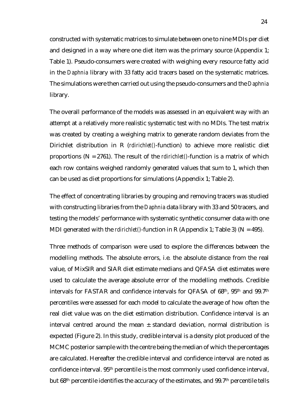constructed with systematic matrices to simulate between one to nine MDIs per diet and designed in a way where one diet item was the primary source (Appendix 1; Table 1). Pseudo-consumers were created with weighing every resource fatty acid in the *Daphnia* library with 33 fatty acid tracers based on the systematic matrices. The simulations were then carried out using the pseudo-consumers and the *Daphnia* library.

The overall performance of the models was assessed in an equivalent way with an attempt at a relatively more realistic systematic test with no MDIs. The test matrix was created by creating a weighing matrix to generate random deviates from the Dirichlet distribution in R (*rdirichlet()*-function) to achieve more realistic diet proportions (N = 2761). The result of the *rdirichlet()*-function is a matrix of which each row contains weighed randomly generated values that sum to 1, which then can be used as diet proportions for simulations (Appendix 1; Table 2).

The effect of concentrating libraries by grouping and removing tracers was studied with constructing libraries from the *Daphnia* data library with 33 and 50 tracers, and testing the models' performance with systematic synthetic consumer data with one MDI generated with the *rdirichlet()*-function in R (Appendix 1; Table 3) (N = 495).

Three methods of comparison were used to explore the differences between the modelling methods. The absolute errors, i.e. the absolute distance from the real value, of MixSIR and SIAR diet estimate medians and QFASA diet estimates were used to calculate the average absolute error of the modelling methods. Credible intervals for FASTAR and confidence intervals for QFASA of 68th, 95th and 99.7th percentiles were assessed for each model to calculate the average of how often the real diet value was on the diet estimation distribution. Confidence interval is an interval centred around the mean  $\pm$  standard deviation, normal distribution is expected (Figure 2). In this study, credible interval is a density plot produced of the MCMC posterior sample with the centre being the median of which the percentages are calculated. Hereafter the credible interval and confidence interval are noted as confidence interval. 95th percentile is the most commonly used confidence interval, but 68<sup>th</sup> percentile identifies the accuracy of the estimates, and 99.7<sup>th</sup> percentile tells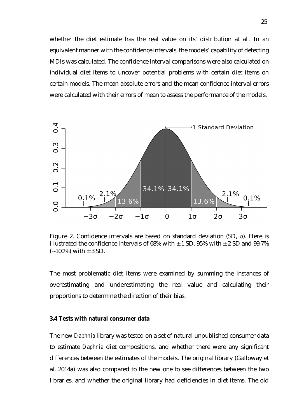whether the diet estimate has the real value on its' distribution at all. In an equivalent manner with the confidence intervals, the models' capability of detecting MDIs was calculated. The confidence interval comparisons were also calculated on individual diet items to uncover potential problems with certain diet items on certain models. The mean absolute errors and the mean confidence interval errors were calculated with their errors of mean to assess the performance of the models.



Figure 2. Confidence intervals are based on standard deviation (SD, σ). Here is illustrated the confidence intervals of 68% with  $\pm$  1 SD, 95% with  $\pm$  2 SD and 99.7%  $(-100\%)$  with  $\pm$  3 SD.

The most problematic diet items were examined by summing the instances of overestimating and underestimating the real value and calculating their proportions to determine the direction of their bias.

#### <span id="page-30-0"></span>**3.4 Tests with natural consumer data**

The new *Daphnia* library was tested on a set of natural unpublished consumer data to estimate *Daphnia* diet compositions, and whether there were any significant differences between the estimates of the models. The original library (Galloway et al. 2014a) was also compared to the new one to see differences between the two libraries, and whether the original library had deficiencies in diet items. The old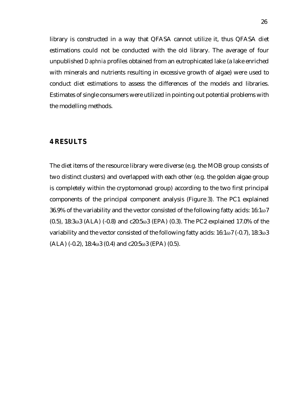library is constructed in a way that QFASA cannot utilize it, thus QFASA diet estimations could not be conducted with the old library. The average of four unpublished *Daphnia* profiles obtained from an eutrophicated lake (a lake enriched with minerals and nutrients resulting in excessive growth of algae) were used to conduct diet estimations to assess the differences of the models and libraries. Estimates of single consumers were utilized in pointing out potential problems with the modelling methods.

# <span id="page-31-0"></span>**4 RESULTS**

The diet items of the resource library were diverse (e.g. the MOB group consists of two distinct clusters) and overlapped with each other (e.g. the golden algae group is completely within the cryptomonad group) according to the two first principal components of the principal component analysis (Figure 3). The PC1 explained 36.9% of the variability and the vector consisted of the following fatty acids: 16:1ω7 (0.5), 18:3ω3 (ALA) (-0.8) and c20:5ω3 (EPA) (0.3). The PC2 explained 17.0% of the variability and the vector consisted of the following fatty acids: 16:1ω7 (-0.7), 18:3ω3  $(ALA)$  (-0.2), 18:4ω3 (0.4) and c20:5ω3 (EPA) (0.5).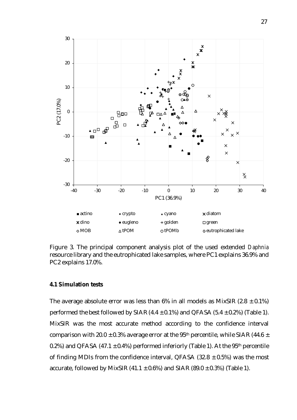

Figure 3. The principal component analysis plot of the used extended *Daphnia* resource library and the eutrophicated lake samples, where PC1 explains 36.9% and PC2 explains 17.0%.

#### <span id="page-32-0"></span>**4.1 Simulation tests**

The average absolute error was less than 6% in all models as MixSIR (2.8  $\pm$  0.1%) performed the best followed by SIAR (4.4  $\pm$  0.1%) and QFASA (5.4  $\pm$  0.2%) (Table 1). MixSIR was the most accurate method according to the confidence interval comparison with 20.0  $\pm$  0.3% average error at the 95<sup>th</sup> percentile, while SIAR (44.6  $\pm$ 0.2%) and QFASA (47.1  $\pm$  0.4%) performed inferiorly (Table 1). At the 95<sup>th</sup> percentile of finding MDIs from the confidence interval, QFASA (32.8  $\pm$  0.5%) was the most accurate, followed by MixSIR (41.1  $\pm$  0.6%) and SIAR (89.0  $\pm$  0.3%) (Table 1).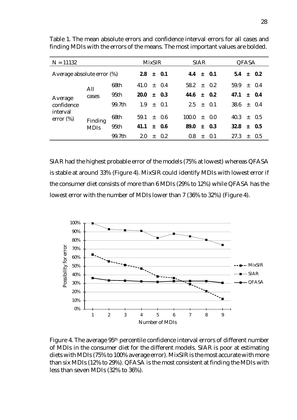| $N = 11132$                |             | <b>MixSIR</b> |      |     | <b>SIAR</b> |       |       | QFASA      |      |     |           |
|----------------------------|-------------|---------------|------|-----|-------------|-------|-------|------------|------|-----|-----------|
| Average absolute error (%) |             |               | 2.8  |     | $\pm$ 0.1   | 4.4   |       | $\pm 0.1$  | 5.4  |     | $+ 0.2$   |
| Average                    | All         | 68th          | 41.0 |     | $\pm$ 0.4   | 58.2  | $\pm$ | 0.2        | 59.9 |     | $\pm$ 0.4 |
|                            | cases       | 95th          | 20.0 | $+$ | 0.3         | 44.6  | $+$   | 0.2        | 47.1 |     | $+ 0.4$   |
| confidence                 |             | 99.7th        | 1.9  | $+$ | 0.1         | 25    | $+$   | $\Omega$ 1 | 38.6 |     | $+ 0.4$   |
| interval<br>error $(\%)$   | Finding     | 68th          | 59.1 |     | $+ 0.6$     | 100.0 | $+$   | 0.0        | 40.3 | $+$ | 0.5       |
|                            | <b>MDIS</b> | 95th          | 41.1 | $+$ | 0.6         | 89.0  | $+$   | 0.3        | 32.8 | $+$ | 0.5       |
|                            |             | 99.7th        | 2.0  | $+$ | 0.2         | 0.8   | $+$   | 0.1        | 27.3 | $+$ | 0.5       |

Table 1. The mean absolute errors and confidence interval errors for all cases and finding MDIs with the errors of the means. The most important values are bolded.

SIAR had the highest probable error of the models (75% at lowest) whereas QFASA is stable at around 33% (Figure 4). MixSIR could identify MDIs with lowest error if the consumer diet consists of more than 6 MDIs (29% to 12%) while QFASA has the lowest error with the number of MDIs lower than 7 (36% to 32%) (Figure 4).



Figure 4. The average 95th percentile confidence interval errors of different number of MDIs in the consumer diet for the different models. SIAR is poor at estimating diets with MDIs (75% to 100% average error). MixSIR is the most accurate with more than six MDIs (12% to 29%). QFASA is the most consistent at finding the MDIs with less than seven MDIs (32% to 36%).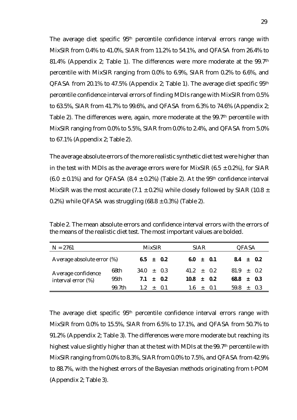The average diet specific 95<sup>th</sup> percentile confidence interval errors range with MixSIR from 0.4% to 41.0%, SIAR from 11.2% to 54.1%, and QFASA from 26.4% to 81.4% (Appendix 2; Table 1). The differences were more moderate at the 99.7th percentile with MixSIR ranging from 0.0% to 6.9%, SIAR from 0.2% to 6.6%, and QFASA from 20.1% to 47.5% (Appendix 2; Table 1). The average diet specific 95th percentile confidence interval errors of finding MDIs range with MixSIR from 0.5% to 63.5%, SIAR from 41.7% to 99.6%, and QFASA from 6.3% to 74.6% (Appendix 2; Table 2). The differences were, again, more moderate at the 99.7<sup>th</sup> percentile with MixSIR ranging from 0.0% to 5.5%, SIAR from 0.0% to 2.4%, and QFASA from 5.0% to 67.1% (Appendix 2; Table 2).

The average absolute errors of the more realistic synthetic diet test were higher than in the test with MDIs as the average errors were for MixSIR (6.5  $\pm$  0.2%), for SIAR (6.0  $\pm$  0.1%) and for QFASA (8.4  $\pm$  0.2%) (Table 2). At the 95<sup>th</sup> confidence interval MixSIR was the most accurate (7.1  $\pm$  0.2%) while closely followed by SIAR (10.8  $\pm$ 0.2%) while QFASA was struggling  $(68.8 \pm 0.3\%)$  (Table 2).

| $N = 2761$                 |        | <b>MixSIR</b> |               |               | <b>SIAR</b>  |  |             |                | QFASA |  |  |
|----------------------------|--------|---------------|---------------|---------------|--------------|--|-------------|----------------|-------|--|--|
| Average absolute error (%) |        |               | $6.5 \pm 0.2$ | $6.0 \pm 0.1$ |              |  | $8.4 + 0.2$ |                |       |  |  |
| Average confidence         | 68th   | $34.0 + 0.3$  |               |               | $41.2 + 0.2$ |  |             | $81.9 + 0.2$   |       |  |  |
| interval error (%)         | 95th   |               |               | $7.1 + 0.2$   | $10.8 + 0.2$ |  |             | $68.8 \pm 0.3$ |       |  |  |
|                            | 99 7th | $12 + 0.1$    |               |               | $1.6 + 0.1$  |  |             | $59.8 \pm 0.3$ |       |  |  |

Table 2. The mean absolute errors and confidence interval errors with the errors of the means of the realistic diet test. The most important values are bolded.

The average diet specific 95<sup>th</sup> percentile confidence interval errors range with MixSIR from 0.0% to 15.5%, SIAR from 6.5% to 17.1%, and QFASA from 50.7% to 91.2% (Appendix 2; Table 3). The differences were more moderate but reaching its highest value slightly higher than at the test with MDIs at the 99.7<sup>th</sup> percentile with MixSIR ranging from 0.0% to 8.3%, SIAR from 0.0% to 7.5%, and QFASA from 42.9% to 88.7%, with the highest errors of the Bayesian methods originating from t-POM (Appendix 2; Table 3).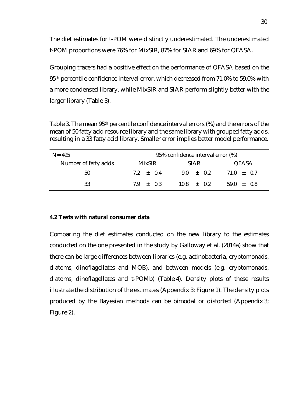The diet estimates for t-POM were distinctly underestimated. The underestimated t-POM proportions were 76% for MixSIR, 87% for SIAR and 69% for QFASA.

Grouping tracers had a positive effect on the performance of QFASA based on the 95<sup>th</sup> percentile confidence interval error, which decreased from 71.0% to 59.0% with a more condensed library, while MixSIR and SIAR perform slightly better with the larger library (Table 3).

Table 3. The mean 95th percentile confidence interval errors (%) and the errors of the mean of 50 fatty acid resource library and the same library with grouped fatty acids, resulting in a 33 fatty acid library. Smaller error implies better model performance.

| $N = 495$             |             | 95% confidence interval error (%) |                |  |  |  |
|-----------------------|-------------|-----------------------------------|----------------|--|--|--|
| Number of fatty acids | MixSIR.     | <b>SIAR</b>                       | QFASA          |  |  |  |
| 50                    | $7.2 + 0.4$ | $9.0 + 0.2$                       | $71.0 \pm 0.7$ |  |  |  |
| 33                    | $79 + 03$   | $10.8 \pm 0.2$                    | $59.0 + 0.8$   |  |  |  |

#### <span id="page-35-0"></span>**4.2 Tests with natural consumer data**

Comparing the diet estimates conducted on the new library to the estimates conducted on the one presented in the study by Galloway et al. (2014a) show that there can be large differences between libraries (e.g. actinobacteria, cryptomonads, diatoms, dinoflagellates and MOB), and between models (e.g. cryptomonads, diatoms, dinoflagellates and t-POMb) (Table 4). Density plots of these results illustrate the distribution of the estimates (Appendix 3; Figure 1). The density plots produced by the Bayesian methods can be bimodal or distorted (Appendix 3; Figure 2).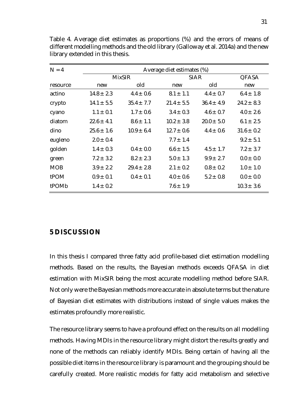| $N = 4$    |                | Average diet estimates (%) |                |                |                |  |  |  |  |  |  |  |
|------------|----------------|----------------------------|----------------|----------------|----------------|--|--|--|--|--|--|--|
|            |                | <b>MixSIR</b>              |                | <b>SIAR</b>    | <b>QFASA</b>   |  |  |  |  |  |  |  |
| resource   | new            | old                        | new            | old            | new            |  |  |  |  |  |  |  |
| actino     | $14.8 \pm 2.3$ | $4.4 \pm 0.6$              | $8.1 \pm 1.1$  | $4.4 \pm 0.7$  | $6.4 \pm 1.8$  |  |  |  |  |  |  |  |
| crypto     | $14.1 \pm 5.5$ | $35.4 \pm 7.7$             | $21.4 \pm 5.5$ | $36.4 \pm 4.9$ | $24.2 \pm 8.3$ |  |  |  |  |  |  |  |
| cyano      | $1.1 \pm 0.1$  | $1.7 \pm 0.6$              | $3.4 \pm 0.3$  | $4.6 \pm 0.7$  | $4.0 \pm 2.6$  |  |  |  |  |  |  |  |
| diatom     | $22.6 \pm 4.1$ | $8.6 \pm 1.1$              | $10.2 \pm 3.8$ | $20.0 \pm 5.0$ | $6.1 \pm 2.5$  |  |  |  |  |  |  |  |
| dino       | $25.6 \pm 1.6$ | $10.9 \pm 6.4$             | $12.7 \pm 0.6$ | $4.4 \pm 0.6$  | $31.6 \pm 0.2$ |  |  |  |  |  |  |  |
| eugleno    | $2.0 \pm 0.4$  |                            | $7.7 \pm 1.4$  |                | $9.2 \pm 5.1$  |  |  |  |  |  |  |  |
| golden     | $1.4 \pm 0.3$  | $0.4 \pm 0.0$              | $6.6 \pm 1.5$  | $4.5 + 1.7$    | $7.2 + 3.7$    |  |  |  |  |  |  |  |
| green      | $7.2 \pm 3.2$  | $8.2 \pm 2.3$              | $5.0 \pm 1.3$  | $9.9 \pm 2.7$  | $0.0 \pm 0.0$  |  |  |  |  |  |  |  |
| <b>MOB</b> | $3.9 \pm 2.2$  | $29.4 + 2.8$               | $2.1 \pm 0.2$  | $0.8 \pm 0.2$  | $1.0 \pm 1.0$  |  |  |  |  |  |  |  |
| tPOM       | $0.9 \pm 0.1$  | $0.4 \pm 0.1$              | $4.0 \pm 0.6$  | $5.2 \pm 0.8$  | $0.0 \pm 0.0$  |  |  |  |  |  |  |  |
| tPOMb      | $1.4 \pm 0.2$  |                            | $7.6 \pm 1.9$  |                | $10.3 \pm 3.6$ |  |  |  |  |  |  |  |

Table 4. Average diet estimates as proportions (%) and the errors of means of different modelling methods and the old library (Galloway et al. 2014a) and the new library extended in this thesis.

# <span id="page-36-0"></span>**5 DISCUSSION**

In this thesis I compared three fatty acid profile-based diet estimation modelling methods. Based on the results, the Bayesian methods exceeds QFASA in diet estimation with MixSIR being the most accurate modelling method before SIAR. Not only were the Bayesian methods more accurate in absolute terms but the nature of Bayesian diet estimates with distributions instead of single values makes the estimates profoundly more realistic.

The resource library seems to have a profound effect on the results on all modelling methods. Having MDIs in the resource library might distort the results greatly and none of the methods can reliably identify MDIs. Being certain of having all the possible diet items in the resource library is paramount and the grouping should be carefully created. More realistic models for fatty acid metabolism and selective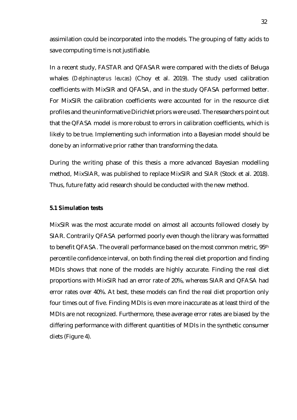assimilation could be incorporated into the models. The grouping of fatty acids to save computing time is not justifiable.

In a recent study, FASTAR and QFASAR were compared with the diets of Beluga whales (*Delphinapterus leucas*) (Choy et al. 2019). The study used calibration coefficients with MixSIR and QFASA, and in the study QFASA performed better. For MixSIR the calibration coefficients were accounted for in the resource diet profiles and the uninformative Dirichlet priors were used. The researchers point out that the QFASA model is more robust to errors in calibration coefficients, which is likely to be true. Implementing such information into a Bayesian model should be done by an informative prior rather than transforming the data.

During the writing phase of this thesis a more advanced Bayesian modelling method, MixSIAR, was published to replace MixSIR and SIAR (Stock et al. 2018). Thus, future fatty acid research should be conducted with the new method.

#### <span id="page-37-0"></span>**5.1 Simulation tests**

MixSIR was the most accurate model on almost all accounts followed closely by SIAR. Contrarily QFASA performed poorly even though the library was formatted to benefit QFASA. The overall performance based on the most common metric, 95<sup>th</sup> percentile confidence interval, on both finding the real diet proportion and finding MDIs shows that none of the models are highly accurate. Finding the real diet proportions with MixSIR had an error rate of 20%, whereas SIAR and QFASA had error rates over 40%. At best, these models can find the real diet proportion only four times out of five. Finding MDIs is even more inaccurate as at least third of the MDIs are not recognized. Furthermore, these average error rates are biased by the differing performance with different quantities of MDIs in the synthetic consumer diets (Figure 4).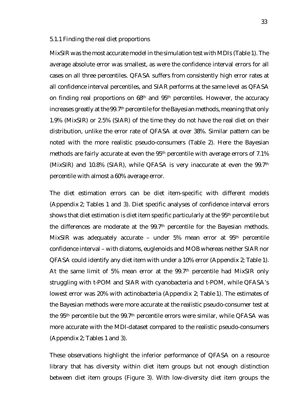#### <span id="page-38-0"></span>5.1.1 Finding the real diet proportions

MixSIR was the most accurate model in the simulation test with MDIs (Table 1). The average absolute error was smallest, as were the confidence interval errors for all cases on all three percentiles. QFASA suffers from consistently high error rates at all confidence interval percentiles, and SIAR performs at the same level as QFASA on finding real proportions on 68<sup>th</sup> and 95<sup>th</sup> percentiles. However, the accuracy increases greatly at the 99.7<sup>th</sup> percentile for the Bayesian methods, meaning that only 1.9% (MixSIR) or 2.5% (SIAR) of the time they do not have the real diet on their distribution, unlike the error rate of QFASA at over 38%. Similar pattern can be noted with the more realistic pseudo-consumers (Table 2). Here the Bayesian methods are fairly accurate at even the 95<sup>th</sup> percentile with average errors of 7.1% (MixSIR) and 10.8% (SIAR), while QFASA is very inaccurate at even the 99.7th percentile with almost a 60% average error.

The diet estimation errors can be diet item-specific with different models (Appendix 2; Tables 1 and 3). Diet specific analyses of confidence interval errors shows that diet estimation is diet item specific particularly at the 95th percentile but the differences are moderate at the 99.7<sup>th</sup> percentile for the Bayesian methods. MixSIR was adequately accurate – under 5% mean error at 95th percentile confidence interval – with diatoms, euglenoids and MOB whereas neither SIAR nor QFASA could identify any diet item with under a 10% error (Appendix 2; Table 1). At the same limit of 5% mean error at the 99.7<sup>th</sup> percentile had MixSIR only struggling with t-POM and SIAR with cyanobacteria and t-POM, while QFASA's lowest error was 20% with actinobacteria (Appendix 2; Table 1). The estimates of the Bayesian methods were more accurate at the realistic pseudo-consumer test at the 95<sup>th</sup> percentile but the 99.7<sup>th</sup> percentile errors were similar, while QFASA was more accurate with the MDI-dataset compared to the realistic pseudo-consumers (Appendix 2; Tables 1 and 3).

These observations highlight the inferior performance of QFASA on a resource library that has diversity within diet item groups but not enough distinction between diet item groups (Figure 3). With low-diversity diet item groups the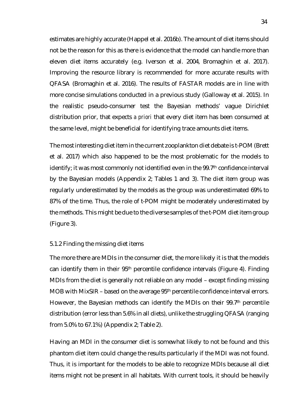estimates are highly accurate (Happel et al. 2016b). The amount of diet items should not be the reason for this as there is evidence that the model can handle more than eleven diet items accurately (e.g. Iverson et al. 2004, Bromaghin et al. 2017). Improving the resource library is recommended for more accurate results with QFASA (Bromaghin et al. 2016). The results of FASTAR models are in line with more concise simulations conducted in a previous study (Galloway et al. 2015). In the realistic pseudo-consumer test the Bayesian methods' vague Dirichlet distribution prior, that expects *a priori* that every diet item has been consumed at the same level, might be beneficial for identifying trace amounts diet items.

The most interesting diet item in the current zooplankton diet debate is t-POM (Brett et al. 2017) which also happened to be the most problematic for the models to identify; it was most commonly not identified even in the 99.7<sup>th</sup> confidence interval by the Bayesian models (Appendix 2; Tables 1 and 3). The diet item group was regularly underestimated by the models as the group was underestimated 69% to 87% of the time. Thus, the role of t-POM might be moderately underestimated by the methods. This might be due to the diverse samples of the t-POM diet item group (Figure 3).

#### <span id="page-39-0"></span>5.1.2 Finding the missing diet items

The more there are MDIs in the consumer diet, the more likely it is that the models can identify them in their 95th percentile confidence intervals (Figure 4). Finding MDIs from the diet is generally not reliable on any model – except finding missing MOB with MixSIR – based on the average 95th percentile confidence interval errors. However, the Bayesian methods can identify the MDIs on their 99.7th percentile distribution (error less than 5.6% in all diets), unlike the struggling QFASA (ranging from 5.0% to 67.1%) (Appendix 2; Table 2).

Having an MDI in the consumer diet is somewhat likely to not be found and this phantom diet item could change the results particularly if the MDI was not found. Thus, it is important for the models to be able to recognize MDIs because all diet items might not be present in all habitats. With current tools, it should be heavily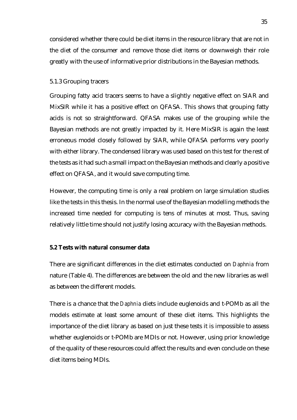considered whether there could be diet items in the resource library that are not in the diet of the consumer and remove those diet items or downweigh their role greatly with the use of informative prior distributions in the Bayesian methods.

### <span id="page-40-0"></span>5.1.3 Grouping tracers

Grouping fatty acid tracers seems to have a slightly negative effect on SIAR and MixSIR while it has a positive effect on QFASA. This shows that grouping fatty acids is not so straightforward. QFASA makes use of the grouping while the Bayesian methods are not greatly impacted by it. Here MixSIR is again the least erroneous model closely followed by SIAR, while QFASA performs very poorly with either library. The condensed library was used based on this test for the rest of the tests as it had such a small impact on the Bayesian methods and clearly a positive effect on QFASA, and it would save computing time.

However, the computing time is only a real problem on large simulation studies like the tests in this thesis. In the normal use of the Bayesian modelling methods the increased time needed for computing is tens of minutes at most. Thus, saving relatively little time should not justify losing accuracy with the Bayesian methods.

# <span id="page-40-1"></span>**5.2 Tests with natural consumer data**

There are significant differences in the diet estimates conducted on *Daphnia* from nature (Table 4). The differences are between the old and the new libraries as well as between the different models.

There is a chance that the *Daphnia* diets include euglenoids and t-POMb as all the models estimate at least some amount of these diet items. This highlights the importance of the diet library as based on just these tests it is impossible to assess whether euglenoids or t-POMb are MDIs or not. However, using prior knowledge of the quality of these resources could affect the results and even conclude on these diet items being MDIs.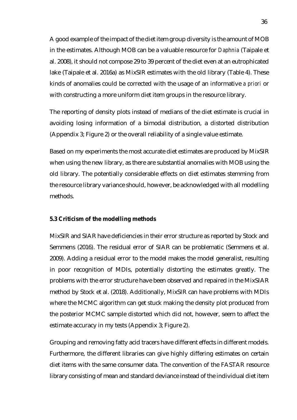A good example of the impact of the diet item group diversity is the amount of MOB in the estimates. Although MOB can be a valuable resource for *Daphnia* (Taipale et al. 2008), it should not compose 29 to 39 percent of the diet even at an eutrophicated lake (Taipale et al. 2016a) as MixSIR estimates with the old library (Table 4). These kinds of anomalies could be corrected with the usage of an informative *a priori* or with constructing a more uniform diet item groups in the resource library.

The reporting of density plots instead of medians of the diet estimate is crucial in avoiding losing information of a bimodal distribution, a distorted distribution (Appendix 3; Figure 2) or the overall reliability of a single value estimate.

Based on my experiments the most accurate diet estimates are produced by MixSIR when using the new library, as there are substantial anomalies with MOB using the old library. The potentially considerable effects on diet estimates stemming from the resource library variance should, however, be acknowledged with all modelling methods.

# <span id="page-41-0"></span>**5.3 Criticism of the modelling methods**

MixSIR and SIAR have deficiencies in their error structure as reported by Stock and Semmens (2016). The residual error of SIAR can be problematic (Semmens et al. 2009). Adding a residual error to the model makes the model generalist, resulting in poor recognition of MDIs, potentially distorting the estimates greatly. The problems with the error structure have been observed and repaired in the MixSIAR method by Stock et al. (2018). Additionally, MixSIR can have problems with MDIs where the MCMC algorithm can get stuck making the density plot produced from the posterior MCMC sample distorted which did not, however, seem to affect the estimate accuracy in my tests (Appendix 3; Figure 2).

Grouping and removing fatty acid tracers have different effects in different models. Furthermore, the different libraries can give highly differing estimates on certain diet items with the same consumer data. The convention of the FASTAR resource library consisting of mean and standard deviance instead of the individual diet item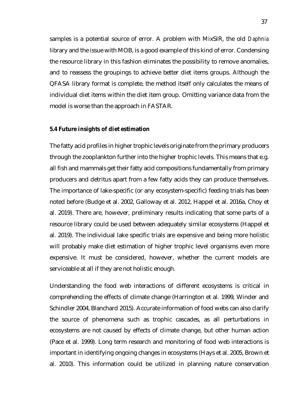samples is a potential source of error. A problem with MixSIR, the old *Daphnia* library and the issue with MOB, is a good example of this kind of error. Condensing the resource library in this fashion eliminates the possibility to remove anomalies, and to reassess the groupings to achieve better diet items groups. Although the QFASA library format is complete, the method itself only calculates the means of individual diet items within the diet item group. Omitting variance data from the model is worse than the approach in FASTAR.

#### <span id="page-42-0"></span>**5.4 Future insights of diet estimation**

The fatty acid profiles in higher trophic levels originate from the primary producers through the zooplankton further into the higher trophic levels. This means that e.g. all fish and mammals get their fatty acid compositions fundamentally from primary producers and detritus apart from a few fatty acids they can produce themselves. The importance of lake-specific (or any ecosystem-specific) feeding trials has been noted before (Budge et al. 2002, Galloway et al. 2012, Happel et al. 2016a, Choy et al. 2019). There are, however, preliminary results indicating that some parts of a resource library could be used between adequately similar ecosystems (Happel et al. 2019). The individual lake specific trials are expensive and being more holistic will probably make diet estimation of higher trophic level organisms even more expensive. It must be considered, however, whether the current models are serviceable at all if they are not holistic enough.

Understanding the food web interactions of different ecosystems is critical in comprehending the effects of climate change (Harrington et al. 1999, Winder and Schindler 2004, Blanchard 2015). Accurate information of food webs can also clarify the source of phenomena such as trophic cascades, as all perturbations in ecosystems are not caused by effects of climate change, but other human action (Pace et al. 1999). Long term research and monitoring of food web interactions is important in identifying ongoing changes in ecosystems (Hays et al. 2005, Brown et al. 2010). This information could be utilized in planning nature conservation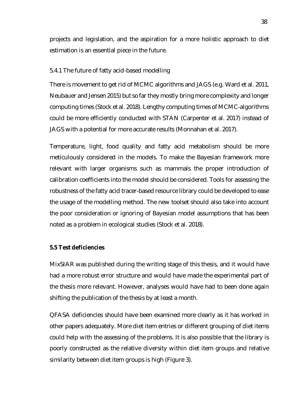projects and legislation, and the aspiration for a more holistic approach to diet estimation is an essential piece in the future.

# <span id="page-43-0"></span>5.4.1 The future of fatty acid-based modelling

There is movement to get rid of MCMC algorithms and JAGS (e.g. Ward et al. 2011, Neubauer and Jensen 2015) but so far they mostly bring more complexity and longer computing times (Stock et al. 2018). Lengthy computing times of MCMC-algorithms could be more efficiently conducted with STAN (Carpenter et al. 2017) instead of JAGS with a potential for more accurate results (Monnahan et al. 2017).

Temperature, light, food quality and fatty acid metabolism should be more meticulously considered in the models. To make the Bayesian framework more relevant with larger organisms such as mammals the proper introduction of calibration coefficients into the model should be considered. Tools for assessing the robustness of the fatty acid tracer-based resource library could be developed to ease the usage of the modelling method. The new toolset should also take into account the poor consideration or ignoring of Bayesian model assumptions that has been noted as a problem in ecological studies (Stock et al. 2018).

# <span id="page-43-1"></span>**5.5 Test deficiencies**

MixSIAR was published during the writing stage of this thesis, and it would have had a more robust error structure and would have made the experimental part of the thesis more relevant. However, analyses would have had to been done again shifting the publication of the thesis by at least a month.

QFASA deficiencies should have been examined more clearly as it has worked in other papers adequately. More diet item entries or different grouping of diet items could help with the assessing of the problems. It is also possible that the library is poorly constructed as the relative diversity within diet item groups and relative similarity between diet item groups is high (Figure 3).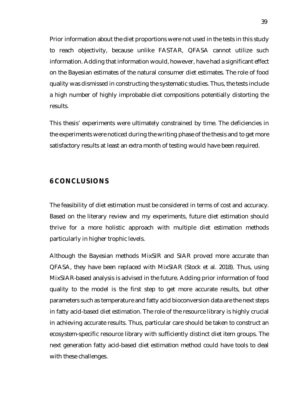Prior information about the diet proportions were not used in the tests in this study to reach objectivity, because unlike FASTAR, QFASA cannot utilize such information. Adding that information would, however, have had a significant effect on the Bayesian estimates of the natural consumer diet estimates. The role of food quality was dismissed in constructing the systematic studies. Thus, the tests include a high number of highly improbable diet compositions potentially distorting the results.

This thesis' experiments were ultimately constrained by time. The deficiencies in the experiments were noticed during the writing phase of the thesis and to get more satisfactory results at least an extra month of testing would have been required.

# <span id="page-44-0"></span>**6 CONCLUSIONS**

The feasibility of diet estimation must be considered in terms of cost and accuracy. Based on the literary review and my experiments, future diet estimation should thrive for a more holistic approach with multiple diet estimation methods particularly in higher trophic levels.

Although the Bayesian methods MixSIR and SIAR proved more accurate than QFASA, they have been replaced with MixSIAR (Stock et al. 2018). Thus, using MixSIAR-based analysis is advised in the future. Adding prior information of food quality to the model is the first step to get more accurate results, but other parameters such as temperature and fatty acid bioconversion data are the next steps in fatty acid-based diet estimation. The role of the resource library is highly crucial in achieving accurate results. Thus, particular care should be taken to construct an ecosystem-specific resource library with sufficiently distinct diet item groups. The next generation fatty acid-based diet estimation method could have tools to deal with these challenges.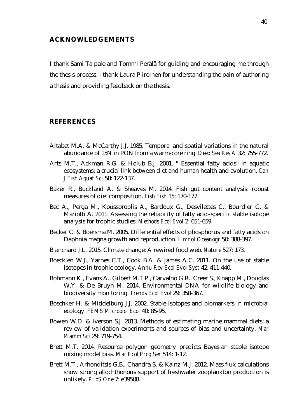# <span id="page-45-0"></span>**ACKNOWLEDGEMENTS**

I thank Sami Taipale and Tommi Perälä for guiding and encouraging me through the thesis process. I thank Laura Piiroinen for understanding the pain of authoring a thesis and providing feedback on the thesis.

# <span id="page-45-1"></span>**REFERENCES**

- Altabet M.A. & McCarthy J.J. 1985. Temporal and spatial variations in the natural abundance of 15N in PON from a warm-core ring. *Deep Sea Res A* 32: 755-772.
- Arts M.T., Ackman R.G. & Holub B.J. 2001. " Essential fatty acids" in aquatic ecosystems: a crucial link between diet and human health and evolution. *Can J Fish Aquat Sci* 58: 122-137.
- Baker R., Buckland A. & Sheaves M. 2014. Fish gut content analysis: robust measures of diet composition. *Fish Fish* 15: 170-177.
- Bec A., Perga M., Koussoroplis A., Bardoux G., Desvilettes C., Bourdier G. & Mariotti A. 2011. Assessing the reliability of fatty acid–specific stable isotope analysis for trophic studies. *Methods Ecol Evol* 2: 651-659.
- Becker C. & Boersma M. 2005. Differential effects of phosphorus and fatty acids on Daphnia magna growth and reproduction. *Limnol Oceanogr* 50: 388-397.
- Blanchard J.L. 2015. Climate change: A rewired food web. *Nature* 527: 173.
- Boecklen W.J., Yarnes C.T., Cook B.A. & James A.C. 2011. On the use of stable isotopes in trophic ecology. *Annu Rev Ecol Evol Syst* 42: 411-440.
- Bohmann K., Evans A., Gilbert M.T.P., Carvalho G.R., Creer S., Knapp M., Douglas W.Y. & De Bruyn M. 2014. Environmental DNA for wildlife biology and biodiversity monitoring. *Trends Ecol Evol* 29: 358-367.
- Boschker H. & Middelburg J.J. 2002. Stable isotopes and biomarkers in microbial ecology. *FEMS Microbiol Ecol* 40: 85-95.
- Bowen W.D. & Iverson S.J. 2013. Methods of estimating marine mammal diets: a review of validation experiments and sources of bias and uncertainty. *Mar Mamm Sci* 29: 719-754.
- Brett M.T. 2014. Resource polygon geometry predicts Bayesian stable isotope mixing model bias. *Mar Ecol Prog Ser* 514: 1-12.
- Brett M.T., Arhonditsis G.B., Chandra S. & Kainz M.J. 2012. Mass flux calculations show strong allochthonous support of freshwater zooplankton production is unlikely. *PLoS One* 7: e39508.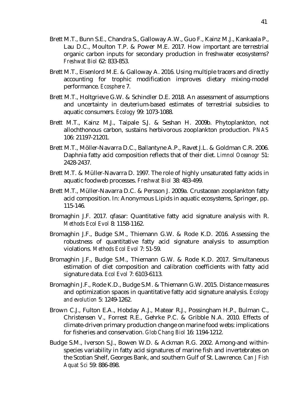- Brett M.T., Bunn S.E., Chandra S., Galloway A.W., Guo F., Kainz M.J., Kankaala P., Lau D.C., Moulton T.P. & Power M.E. 2017. How important are terrestrial organic carbon inputs for secondary production in freshwater ecosystems? *Freshwat Biol* 62: 833-853.
- Brett M.T., Eisenlord M.E. & Galloway A. 2016. Using multiple tracers and directly accounting for trophic modification improves dietary mixing‐model performance. *Ecosphere* 7.
- Brett M.T., Holtgrieve G.W. & Schindler D.E. 2018. An assessment of assumptions and uncertainty in deuterium‐based estimates of terrestrial subsidies to aquatic consumers. *Ecology* 99: 1073-1088.
- Brett M.T., Kainz M.J., Taipale S.J. & Seshan H. 2009b. Phytoplankton, not allochthonous carbon, sustains herbivorous zooplankton production. *PNAS* 106: 21197-21201.
- Brett M.T., Möller-Navarra D.C., Ballantyne A.P., Ravet J.L. & Goldman C.R. 2006. Daphnia fatty acid composition reflects that of their diet. *Limnol Oceanogr* 51: 2428-2437.
- Brett M.T. & Müller‐Navarra D. 1997. The role of highly unsaturated fatty acids in aquatic foodweb processes. *Freshwat Biol* 38: 483-499.
- Brett M.T., Müller-Navarra D.C. & Persson J. 2009a. Crustacean zooplankton fatty acid composition. In: Anonymous Lipids in aquatic ecosystems, Springer, pp. 115-146.
- Bromaghin J.F. 2017. qfasar: Quantitative fatty acid signature analysis with R. *Methods Ecol Evol* 8: 1158-1162.
- Bromaghin J.F., Budge S.M., Thiemann G.W. & Rode K.D. 2016. Assessing the robustness of quantitative fatty acid signature analysis to assumption violations. *Methods Ecol Evol* 7: 51-59.
- Bromaghin J.F., Budge S.M., Thiemann G.W. & Rode K.D. 2017. Simultaneous estimation of diet composition and calibration coefficients with fatty acid signature data. *Ecol Evol* 7: 6103-6113.
- Bromaghin J.F., Rode K.D., Budge S.M. & Thiemann G.W. 2015. Distance measures and optimization spaces in quantitative fatty acid signature analysis. *Ecology and evolution* 5: 1249-1262.
- Brown C.J., Fulton E.A., Hobday A.J., Matear R.J., Possingham H.P., Bulman C., Christensen V., Forrest R.E., Gehrke P.C. & Gribble N.A. 2010. Effects of climate‐driven primary production change on marine food webs: implications for fisheries and conservation. *Glob Chang Biol* 16: 1194-1212.
- Budge S.M., Iverson S.J., Bowen W.D. & Ackman R.G. 2002. Among-and withinspecies variability in fatty acid signatures of marine fish and invertebrates on the Scotian Shelf, Georges Bank, and southern Gulf of St. Lawrence. *Can J Fish Aquat Sci* 59: 886-898.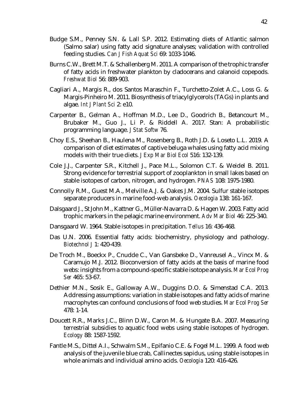- Budge S.M., Penney S.N. & Lall S.P. 2012. Estimating diets of Atlantic salmon (Salmo salar) using fatty acid signature analyses; validation with controlled feeding studies. *Can J Fish Aquat Sci* 69: 1033-1046.
- Burns C.W., Brett M.T. & Schallenberg M. 2011. A comparison of the trophic transfer of fatty acids in freshwater plankton by cladocerans and calanoid copepods. *Freshwat Biol* 56: 889-903.
- Cagliari A., Margis R., dos Santos Maraschin F., Turchetto-Zolet A.C., Loss G. & Margis-Pinheiro M. 2011. Biosynthesis of triacylglycerols (TAGs) in plants and algae. *Int J Plant Sci* 2: e10.
- Carpenter B., Gelman A., Hoffman M.D., Lee D., Goodrich B., Betancourt M., Brubaker M., Guo J., Li P. & Riddell A. 2017. Stan: A probabilistic programming language. *J Stat Softw* 76.
- Choy E.S., Sheehan B., Haulena M., Rosenberg B., Roth J.D. & Loseto L.L. 2019. A comparison of diet estimates of captive beluga whales using fatty acid mixing models with their true diets. *J Exp Mar Biol Ecol* 516: 132-139.
- Cole J.J., Carpenter S.R., Kitchell J., Pace M.L., Solomon C.T. & Weidel B. 2011. Strong evidence for terrestrial support of zooplankton in small lakes based on stable isotopes of carbon, nitrogen, and hydrogen. *PNAS* 108: 1975-1980.
- Connolly R.M., Guest M.A., Melville A.J. & Oakes J.M. 2004. Sulfur stable isotopes separate producers in marine food-web analysis. *Oecologia* 138: 161-167.
- Dalsgaard J., St John M., Kattner G., Müller-Navarra D. & Hagen W. 2003. Fatty acid trophic markers in the pelagic marine environment. *Adv Mar Biol* 46: 225-340.
- Dansgaard W. 1964. Stable isotopes in precipitation. *Tellus* 16: 436-468.
- Das U.N. 2006. Essential fatty acids: biochemistry, physiology and pathology. *Biotechnol J* 1: 420-439.
- De Troch M., Boeckx P., Cnudde C., Van Gansbeke D., Vanreusel A., Vincx M. & Caramujo M.J. 2012. Bioconversion of fatty acids at the basis of marine food webs: insights from a compound-specific stable isotope analysis. *Mar Ecol Prog Ser* 465: 53-67.
- Dethier M.N., Sosik E., Galloway A.W., Duggins D.O. & Simenstad C.A. 2013. Addressing assumptions: variation in stable isotopes and fatty acids of marine macrophytes can confound conclusions of food web studies. *Mar Ecol Prog Ser* 478: 1-14.
- Doucett R.R., Marks J.C., Blinn D.W., Caron M. & Hungate B.A. 2007. Measuring terrestrial subsidies to aquatic food webs using stable isotopes of hydrogen. *Ecology* 88: 1587-1592.
- Fantle M.S., Dittel A.I., Schwalm S.M., Epifanio C.E. & Fogel M.L. 1999. A food web analysis of the juvenile blue crab, Callinectes sapidus, using stable isotopes in whole animals and individual amino acids. *Oecologia* 120: 416-426.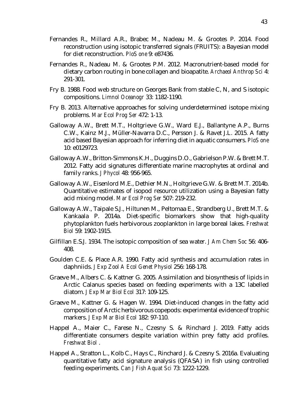- Fernandes R., Millard A.R., Brabec M., Nadeau M. & Grootes P. 2014. Food reconstruction using isotopic transferred signals (FRUITS): a Bayesian model for diet reconstruction. *PloS one* 9: e87436.
- Fernandes R., Nadeau M. & Grootes P.M. 2012. Macronutrient-based model for dietary carbon routing in bone collagen and bioapatite. *Archaeol Anthrop Sci* 4: 291-301.
- Fry B. 1988. Food web structure on Georges Bank from stable C, N, and S isotopic compositions. *Limnol Oceanogr* 33: 1182-1190.
- Fry B. 2013. Alternative approaches for solving underdetermined isotope mixing problems. *Mar Ecol Prog Ser* 472: 1-13.
- Galloway A.W., Brett M.T., Holtgrieve G.W., Ward E.J., Ballantyne A.P., Burns C.W., Kainz M.J., Müller-Navarra D.C., Persson J. & Ravet J.L. 2015. A fatty acid based Bayesian approach for inferring diet in aquatic consumers. *PloS one* 10: e0129723.
- Galloway A.W., Britton‐Simmons K.H., Duggins D.O., Gabrielson P.W. & Brett M.T. 2012. Fatty acid signatures differentiate marine macrophytes at ordinal and family ranks. *J Phycol* 48: 956-965.
- Galloway A.W., Eisenlord M.E., Dethier M.N., Holtgrieve G.W. & Brett M.T. 2014b. Quantitative estimates of isopod resource utilization using a Bayesian fatty acid mixing model. *Mar Ecol Prog Ser* 507: 219-232.
- Galloway A.W., Taipale S.J., Hiltunen M., Peltomaa E., Strandberg U., Brett M.T. & Kankaala P. 2014a. Diet‐specific biomarkers show that high‐quality phytoplankton fuels herbivorous zooplankton in large boreal lakes. *Freshwat Biol* 59: 1902-1915.
- Gilfillan E.S.J. 1934. The isotopic composition of sea water. *J Am Chem Soc* 56: 406- 408.
- Goulden C.E. & Place A.R. 1990. Fatty acid synthesis and accumulation rates in daphniids. *J Exp Zool A Ecol Genet Physiol* 256: 168-178.
- Graeve M., Albers C. & Kattner G. 2005. Assimilation and biosynthesis of lipids in Arctic Calanus species based on feeding experiments with a 13C labelled diatom. *J Exp Mar Biol Ecol* 317: 109-125.
- Graeve M., Kattner G. & Hagen W. 1994. Diet-induced changes in the fatty acid composition of Arctic herbivorous copepods: experimental evidence of trophic markers. *J Exp Mar Biol Ecol* 182: 97-110.
- Happel A., Maier C., Farese N., Czesny S. & Rinchard J. 2019. Fatty acids differentiate consumers despite variation within prey fatty acid profiles. *Freshwat Biol* .
- Happel A., Stratton L., Kolb C., Hays C., Rinchard J. & Czesny S. 2016a. Evaluating quantitative fatty acid signature analysis (QFASA) in fish using controlled feeding experiments. *Can J Fish Aquat Sci* 73: 1222-1229.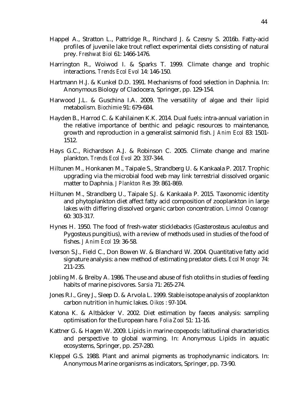- Happel A., Stratton L., Pattridge R., Rinchard J. & Czesny S. 2016b. Fatty-acid profiles of juvenile lake trout reflect experimental diets consisting of natural prey. *Freshwat Biol* 61: 1466-1476.
- Harrington R., Woiwod I. & Sparks T. 1999. Climate change and trophic interactions. *Trends Ecol Evol* 14: 146-150.
- Hartmann H.J. & Kunkel D.D. 1991. Mechanisms of food selection in Daphnia. In: Anonymous Biology of Cladocera, Springer, pp. 129-154.
- Harwood J.L. & Guschina I.A. 2009. The versatility of algae and their lipid metabolism. *Biochimie* 91: 679-684.
- Hayden B., Harrod C. & Kahilainen K.K. 2014. Dual fuels: intra‐annual variation in the relative importance of benthic and pelagic resources to maintenance, growth and reproduction in a generalist salmonid fish. *J Anim Ecol* 83: 1501- 1512.
- Hays G.C., Richardson A.J. & Robinson C. 2005. Climate change and marine plankton. *Trends Ecol Evol* 20: 337-344.
- Hiltunen M., Honkanen M., Taipale S., Strandberg U. & Kankaala P. 2017. Trophic upgrading via the microbial food web may link terrestrial dissolved organic matter to Daphnia. *J Plankton Res* 39: 861-869.
- Hiltunen M., Strandberg U., Taipale S.J. & Kankaala P. 2015. Taxonomic identity and phytoplankton diet affect fatty acid composition of zooplankton in large lakes with differing dissolved organic carbon concentration. *Limnol Oceanogr* 60: 303-317.
- Hynes H. 1950. The food of fresh-water sticklebacks (Gasterosteus aculeatus and Pygosteus pungitius), with a review of methods used in studies of the food of fishes. *J Anim Ecol* 19: 36-58.
- Iverson S.J., Field C., Don Bowen W. & Blanchard W. 2004. Quantitative fatty acid signature analysis: a new method of estimating predator diets. *Ecol Monogr* 74: 211-235.
- Jobling M. & Breiby A. 1986. The use and abuse of fish otoliths in studies of feeding habits of marine piscivores. *Sarsia* 71: 265-274.
- Jones R.I., Grey J., Sleep D. & Arvola L. 1999. Stable isotope analysis of zooplankton carbon nutrition in humic lakes. *Oikos* : 97-104.
- Katona K. & Altbäcker V. 2002. Diet estimation by faeces analysis: sampling optimisation for the European hare. *Folia Zool* 51: 11-16.
- Kattner G. & Hagen W. 2009. Lipids in marine copepods: latitudinal characteristics and perspective to global warming. In: Anonymous Lipids in aquatic ecosystems, Springer, pp. 257-280.
- Kleppel G.S. 1988. Plant and animal pigments as trophodynamic indicators. In: Anonymous Marine organisms as indicators, Springer, pp. 73-90.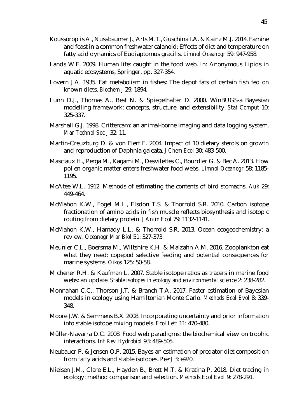- Koussoroplis A., Nussbaumer J., Arts M.T., Guschina I.A. & Kainz M.J. 2014. Famine and feast in a common freshwater calanoid: Effects of diet and temperature on fatty acid dynamics of Eudiaptomus gracilis. *Limnol Oceanogr* 59: 947-958.
- Lands W.E. 2009. Human life: caught in the food web. In: Anonymous Lipids in aquatic ecosystems, Springer, pp. 327-354.
- Lovern J.A. 1935. Fat metabolism in fishes: The depot fats of certain fish fed on known diets. *Biochem J* 29: 1894.
- Lunn D.J., Thomas A., Best N. & Spiegelhalter D. 2000. WinBUGS-a Bayesian modelling framework: concepts, structure, and extensibility. *Stat Comput* 10: 325-337.
- Marshall G.J. 1998. Crittercam: an animal-borne imaging and data logging system. *Mar Technol Soc J* 32: 11.
- Martin-Creuzburg D. & von Elert E. 2004. Impact of 10 dietary sterols on growth and reproduction of Daphnia galeata. *J Chem Ecol* 30: 483-500.
- Masclaux H., Perga M., Kagami M., Desvilettes C., Bourdier G. & Bec A. 2013. How pollen organic matter enters freshwater food webs. *Limnol Oceanogr* 58: 1185- 1195.
- McAtee W.L. 1912. Methods of estimating the contents of bird stomachs. *Auk* 29: 449-464.
- McMahon K.W., Fogel M.L., Elsdon T.S. & Thorrold S.R. 2010. Carbon isotope fractionation of amino acids in fish muscle reflects biosynthesis and isotopic routing from dietary protein. *J Anim Ecol* 79: 1132-1141.
- McMahon K.W., Hamady L.L. & Thorrold S.R. 2013. Ocean ecogeochemistry: a review. *Oceanogr Mar Biol* 51: 327-373.
- Meunier C.L., Boersma M., Wiltshire K.H. & Malzahn A.M. 2016. Zooplankton eat what they need: copepod selective feeding and potential consequences for marine systems. *Oikos* 125: 50-58.
- Michener R.H. & Kaufman L. 2007. Stable isotope ratios as tracers in marine food webs: an update. *Stable isotopes in ecology and environmental science* 2: 238-282.
- Monnahan C.C., Thorson J.T. & Branch T.A. 2017. Faster estimation of Bayesian models in ecology using Hamiltonian Monte Carlo. *Methods Ecol Evol* 8: 339- 348.
- Moore J.W. & Semmens B.X. 2008. Incorporating uncertainty and prior information into stable isotope mixing models. *Ecol Lett* 11: 470-480.
- Müller‐Navarra D.C. 2008. Food web paradigms: the biochemical view on trophic interactions. *Int Rev Hydrobiol* 93: 489-505.
- Neubauer P. & Jensen O.P. 2015. Bayesian estimation of predator diet composition from fatty acids and stable isotopes. *PeerJ* 3: e920.
- Nielsen J.M., Clare E.L., Hayden B., Brett M.T. & Kratina P. 2018. Diet tracing in ecology: method comparison and selection. *Methods Ecol Evol* 9: 278-291.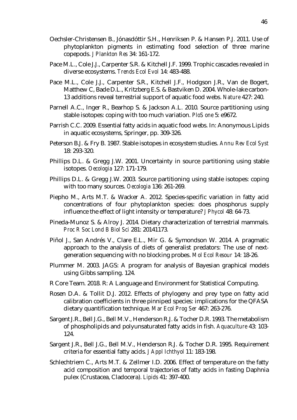- Oechsler-Christensen B., Jónasdóttir S.H., Henriksen P. & Hansen P.J. 2011. Use of phytoplankton pigments in estimating food selection of three marine copepods. *J Plankton Res* 34: 161-172.
- Pace M.L., Cole J.J., Carpenter S.R. & Kitchell J.F. 1999. Trophic cascades revealed in diverse ecosystems. *Trends Ecol Evol* 14: 483-488.
- Pace M.L., Cole J.J., Carpenter S.R., Kitchell J.F., Hodgson J.R., Van de Bogert, Matthew C, Bade D.L., Kritzberg E.S. & Bastviken D. 2004. Whole-lake carbon-13 additions reveal terrestrial support of aquatic food webs. *Nature* 427: 240.
- Parnell A.C., Inger R., Bearhop S. & Jackson A.L. 2010. Source partitioning using stable isotopes: coping with too much variation. *PloS one* 5: e9672.
- Parrish C.C. 2009. Essential fatty acids in aquatic food webs. In: Anonymous Lipids in aquatic ecosystems, Springer, pp. 309-326.
- Peterson B.J. & Fry B. 1987. Stable isotopes in ecosystem studies. *Annu Rev Ecol Syst* 18: 293-320.
- Phillips D.L. & Gregg J.W. 2001. Uncertainty in source partitioning using stable isotopes. *Oecologia* 127: 171-179.
- Phillips D.L. & Gregg J.W. 2003. Source partitioning using stable isotopes: coping with too many sources. *Oecologia* 136: 261-269.
- Piepho M., Arts M.T. & Wacker A. 2012. Species-specific variation in fatty acid concentrations of four phytoplankton species: does phosphorus supply influence the effect of light intensity or temperature? *J Phycol* 48: 64-73.
- Pineda-Munoz S. & Alroy J. 2014. Dietary characterization of terrestrial mammals. *Proc R Soc Lond B Biol Sci* 281: 20141173.
- Piñol J., San Andrés V., Clare E.L., Mir G. & Symondson W. 2014. A pragmatic approach to the analysis of diets of generalist predators: The use of nextgeneration sequencing with no blocking probes. *Mol Ecol Resour* 14: 18-26.
- Plummer M. 2003. JAGS: A program for analysis of Bayesian graphical models using Gibbs sampling. 124.
- R Core Team. 2018. R: A Language and Environment for Statistical Computing.
- Rosen D.A. & Tollit D.J. 2012. Effects of phylogeny and prey type on fatty acid calibration coefficients in three pinniped species: implications for the QFASA dietary quantification technique. *Mar Ecol Prog Ser* 467: 263-276.
- Sargent J.R., Bell J.G., Bell M.V., Henderson R.J. & Tocher D.R. 1993. The metabolism of phospholipids and polyunsaturated fatty acids in fish. *Aquaculture* 43: 103- 124.
- Sargent J.R., Bell J.G., Bell M.V., Henderson R.J. & Tocher D.R. 1995. Requirement criteria for essential fatty acids. *J Appl Ichthyol* 11: 183-198.
- Schlechtriem C., Arts M.T. & Zellmer I.D. 2006. Effect of temperature on the fatty acid composition and temporal trajectories of fatty acids in fasting Daphnia pulex (Crustacea, Cladocera). *Lipids* 41: 397-400.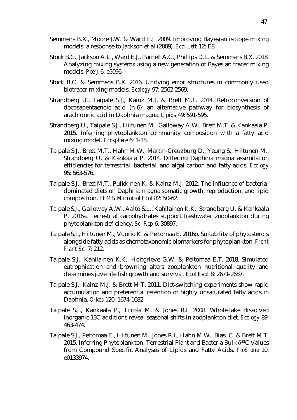- Semmens B.X., Moore J.W. & Ward E.J. 2009. Improving Bayesian isotope mixing models: a response to Jackson et al.(2009). *Ecol Lett* 12: E8.
- Stock B.C., Jackson A.L., Ward E.J., Parnell A.C., Phillips D.L. & Semmens B.X. 2018. Analyzing mixing systems using a new generation of Bayesian tracer mixing models. *PeerJ* 6: e5096.
- Stock B.C. & Semmens B.X. 2016. Unifying error structures in commonly used biotracer mixing models. *Ecology* 97: 2562-2569.
- Strandberg U., Taipale S.J., Kainz M.J. & Brett M.T. 2014. Retroconversion of docosapentaenoic acid (n‐6): an alternative pathway for biosynthesis of arachidonic acid in Daphnia magna. *Lipids* 49: 591-595.
- Strandberg U., Taipale S.J., Hiltunen M., Galloway A.W., Brett M.T. & Kankaala P. 2015. Inferring phytoplankton community composition with a fatty acid mixing model. *Ecosphere* 6: 1-18.
- Taipale S.J., Brett M.T., Hahn M.W., Martin-Creuzburg D., Yeung S., Hiltunen M., Strandberg U. & Kankaala P. 2014. Differing Daphnia magna assimilation efficiencies for terrestrial, bacterial, and algal carbon and fatty acids. *Ecology* 95: 563-576.
- Taipale S.J., Brett M.T., Pulkkinen K. & Kainz M.J. 2012. The influence of bacteriadominated diets on Daphnia magna somatic growth, reproduction, and lipid composition. *FEMS Microbiol Ecol* 82: 50-62.
- Taipale S.J., Galloway A.W., Aalto S.L., Kahilainen K.K., Strandberg U. & Kankaala P. 2016a. Terrestrial carbohydrates support freshwater zooplankton during phytoplankton deficiency. *Sci Rep* 6: 30897.
- Taipale S.J., Hiltunen M., Vuorio K. & Peltomaa E. 2016b. Suitability of phytosterols alongside fatty acids as chemotaxonomic biomarkers for phytoplankton. *Front Plant Sci* 7: 212.
- Taipale S.J., Kahilainen K.K., Holtgrieve G.W. & Peltomaa E.T. 2018. Simulated eutrophication and browning alters zooplankton nutritional quality and determines juvenile fish growth and survival. *Ecol Evol* 8: 2671-2687.
- Taipale S.J., Kainz M.J. & Brett M.T. 2011. Diet‐switching experiments show rapid accumulation and preferential retention of highly unsaturated fatty acids in Daphnia. *Oikos* 120: 1674-1682.
- Taipale S.J., Kankaala P., Tiirola M. & Jones R.I. 2008. Whole‐lake dissolved inorganic 13C additions reveal seasonal shifts in zooplankton diet. *Ecology* 89: 463-474.
- Taipale S.J., Peltomaa E., Hiltunen M., Jones R.I., Hahn M.W., Biasi C. & Brett M.T. 2015. Inferring Phytoplankton, Terrestrial Plant and Bacteria Bulk  $\delta^{13}$ C Values from Compound Specific Analyses of Lipids and Fatty Acids. *PloS one* 10: e0133974.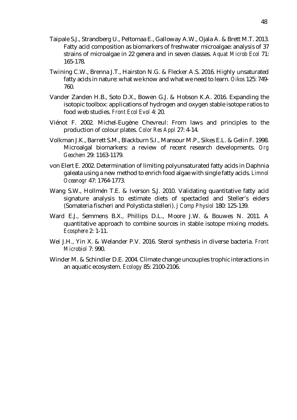- Taipale S.J., Strandberg U., Peltomaa E., Galloway A.W., Ojala A. & Brett M.T. 2013. Fatty acid composition as biomarkers of freshwater microalgae: analysis of 37 strains of microalgae in 22 genera and in seven classes. *Aquat Microb Ecol* 71: 165-178.
- Twining C.W., Brenna J.T., Hairston N.G. & Flecker A.S. 2016. Highly unsaturated fatty acids in nature: what we know and what we need to learn. *Oikos* 125: 749- 760.
- Vander Zanden H.B., Soto D.X., Bowen G.J. & Hobson K.A. 2016. Expanding the isotopic toolbox: applications of hydrogen and oxygen stable isotope ratios to food web studies. *Front Ecol Evol* 4: 20.
- Viénot F. 2002. Michel‐Eugène Chevreul: From laws and principles to the production of colour plates. *Color Res Appl* 27: 4-14.
- Volkman J.K., Barrett S.M., Blackburn S.I., Mansour M.P., Sikes E.L. & Gelin F. 1998. Microalgal biomarkers: a review of recent research developments. *Org Geochem* 29: 1163-1179.
- von Elert E. 2002. Determination of limiting polyunsaturated fatty acids in Daphnia galeata using a new method to enrich food algae with single fatty acids. *Limnol Oceanogr* 47: 1764-1773.
- Wang S.W., Hollmén T.E. & Iverson S.J. 2010. Validating quantitative fatty acid signature analysis to estimate diets of spectacled and Steller's eiders (Somateria fischeri and Polysticta stelleri). *J Comp Physiol* 180: 125-139.
- Ward E.J., Semmens B.X., Phillips D.L., Moore J.W. & Bouwes N. 2011. A quantitative approach to combine sources in stable isotope mixing models. *Ecosphere* 2: 1-11.
- Wei J.H., Yin X. & Welander P.V. 2016. Sterol synthesis in diverse bacteria. *Front Microbiol* 7: 990.
- Winder M. & Schindler D.E. 2004. Climate change uncouples trophic interactions in an aquatic ecosystem. *Ecology* 85: 2100-2106.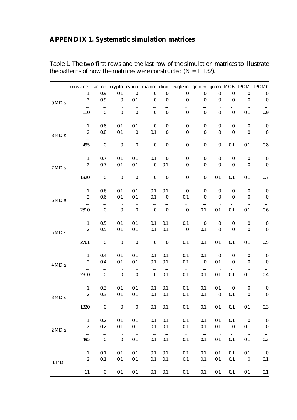# <span id="page-54-0"></span>**APPENDIX 1. Systematic simulation matrices**

|        | consumer                   |                              |                              |                              |                              |                              | actino crypto cyano diatom dino eugleno golden green MOB tPOM tPOMb |                       |                         |                              |                              |                              |
|--------|----------------------------|------------------------------|------------------------------|------------------------------|------------------------------|------------------------------|---------------------------------------------------------------------|-----------------------|-------------------------|------------------------------|------------------------------|------------------------------|
|        | 1                          | 0.9                          | 0.1                          | $\boldsymbol{0}$             | $\boldsymbol{0}$             | $\boldsymbol{0}$             | $\boldsymbol{0}$                                                    | $\boldsymbol{0}$      | $\boldsymbol{0}$        | $\boldsymbol{0}$             | 0                            | $\boldsymbol{0}$             |
| 9 MDIS | $\overline{2}$<br>$\cdots$ | 0.9<br>$\ldots$              | $\boldsymbol{0}$<br>$\ldots$ | 0.1<br>$\cdots$              | $\mathbf 0$<br>$\cdots$      | $\boldsymbol{0}$<br>$\cdots$ | $\pmb{0}$<br>.                                                      | $\pmb{0}$<br>$\cdots$ | $\mathbf 0$<br>$\cdots$ | $\boldsymbol{0}$<br>$\cdots$ | $\boldsymbol{0}$<br>$\ldots$ | $\boldsymbol{0}$<br>$\ldots$ |
|        | 110                        | $\boldsymbol{0}$             | $\boldsymbol{0}$             | $\boldsymbol{0}$             | $\overline{0}$               | $\boldsymbol{0}$             | $\boldsymbol{0}$                                                    | $\boldsymbol{0}$      | $\mathbf 0$             | $\pmb{0}$                    | 0.1                          | 0.9                          |
|        | $\mathbf{1}$               | 0.8                          | 0.1                          | 0.1                          | 0                            | $\boldsymbol{0}$             | 0                                                                   | 0                     | 0                       | 0                            | $\boldsymbol{0}$             | $\boldsymbol{0}$             |
| 8 MDIs | $\overline{2}$             | 0.8                          | 0.1                          | $\boldsymbol{0}$             | 0.1                          | 0                            | 0                                                                   | $\overline{0}$        | $\mathbf 0$             | $\overline{0}$               | $\mathbf 0$                  | $\boldsymbol{0}$             |
|        | $\cdots$<br>495            | $\ldots$<br>$\mathbf 0$      | $\ldots$<br>$\mathbf 0$      | $\ldots$<br>$\boldsymbol{0}$ | $\cdots$<br>$\mathbf 0$      | <br>$\pmb{0}$                | <br>$\pmb{0}$                                                       | $\cdots$<br>$\pmb{0}$ | <br>$\mathbf 0$         | $\ldots$<br>0.1              | $\cdots$<br>0.1              | $\ldots$<br>0.8              |
|        | $\mathbf{1}$               | 0.7                          | 0.1                          | 0.1                          | 0.1                          | $\boldsymbol{0}$             | $\boldsymbol{0}$                                                    | $\boldsymbol{0}$      | 0                       | $\boldsymbol{0}$             | $\boldsymbol{0}$             | $\boldsymbol{0}$             |
| 7 MDIs | $\overline{2}$             | 0.7                          | 0.1                          | 0.1                          | $\boldsymbol{0}$             | 0.1                          | 0                                                                   | $\pmb{0}$             | $\mathbf 0$             | $\mathbf 0$                  | $\boldsymbol{0}$             | $\boldsymbol{0}$             |
|        | $\cdots$<br>1320           | $\cdots$<br>$\mathbf 0$      | $\ldots$<br>$\boldsymbol{0}$ | $\cdots$<br>$\boldsymbol{0}$ | <br>$\overline{0}$           | <br>$\boldsymbol{0}$         | <br>$\pmb{0}$                                                       | <br>$\pmb{0}$         | $\cdots$<br>0.1         | $\ldots$<br>0.1              | $\ldots$<br>0.1              | $\ldots$<br>0.7              |
|        | $\mathbf{1}$               | 0.6                          | 0.1                          | 0.1                          | 0.1                          | 0.1                          | $\pmb{0}$                                                           | 0                     | 0                       | $\boldsymbol{0}$             | $\boldsymbol{0}$             | $\boldsymbol{0}$             |
| 6 MDIs | $\overline{2}$             | 0.6                          | 0.1                          | 0.1                          | 0.1                          | $\boldsymbol{0}$             | 0.1                                                                 | $\pmb{0}$             | $\mathbf 0$             | $\boldsymbol{0}$             | $\boldsymbol{0}$             | $\boldsymbol{0}$             |
|        | $\cdots$<br>2310           | $\ldots$<br>$\boldsymbol{0}$ | $\cdots$<br>$\boldsymbol{0}$ | $\cdots$<br>$\boldsymbol{0}$ | $\cdots$<br>$\mathbf 0$      | $\cdots$<br>$\pmb{0}$        | $\ldots$<br>$\mathbf 0$                                             | $\ldots$<br>0.1       | $\cdots$<br>0.1         | $\ldots$<br>0.1              | $\ldots$<br>0.1              | $\ldots$<br>0.6              |
|        | $\mathbf{1}$               | 0.5                          | 0.1                          | 0.1                          | 0.1                          | 0.1                          | 0.1                                                                 | 0                     | 0                       | 0                            | $\boldsymbol{0}$             | $\boldsymbol{0}$             |
| 5 MDIs | $\overline{2}$             | 0.5                          | 0.1                          | 0.1                          | 0.1                          | 0.1                          | $\boldsymbol{0}$                                                    | 0.1                   | $\boldsymbol{0}$        | $\boldsymbol{0}$             | $\boldsymbol{0}$             | $\pmb{0}$                    |
|        | $\cdots$<br>2761           | $\cdots$<br>$\boldsymbol{0}$ | $\ldots$<br>$\boldsymbol{0}$ | $\ldots$<br>$\boldsymbol{0}$ | $\ldots$<br>$\boldsymbol{0}$ | $\cdots$<br>$\boldsymbol{0}$ | $\ldots$<br>0.1                                                     | $\ldots$<br>0.1       | $\cdots$<br>0.1         | $\cdots$<br>0.1              | $\cdots$<br>0.1              | $\ldots$<br>0.5              |
|        | $\mathbf{1}$               | 0.4                          | 0.1                          | 0.1                          | 0.1                          | 0.1                          | 0.1                                                                 | 0.1                   | $\boldsymbol{0}$        | 0                            | $\boldsymbol{0}$             | $\boldsymbol{0}$             |
| 4 MDIs | $\overline{2}$             | 0.4                          | 0.1                          | 0.1                          | 0.1                          | 0.1                          | 0.1                                                                 | $\boldsymbol{0}$      | 0.1                     | $\overline{0}$               | $\boldsymbol{0}$             | $\boldsymbol{0}$             |
|        | $\ldots$<br>2310           | $\ldots$<br>$\overline{0}$   | $\ldots$<br>$\mathbf 0$      | $\cdots$<br>$\boldsymbol{0}$ | $\ldots$<br>$\boldsymbol{0}$ | $\ldots$<br>0.1              | $\ldots$<br>0.1                                                     | $\ldots$<br>0.1       | $\ldots$<br>0.1         | $\ldots$<br>0.1              | $\ldots$<br>0.1              | $\ldots$<br>0.4              |
|        | 1                          | 0.3                          | 0.1                          | 0.1                          | 0.1                          | 0.1                          | 0.1                                                                 | 0.1                   | 0.1                     | $\boldsymbol{0}$             | 0                            | 0                            |
| 3 MDIs | $\overline{2}$             | 0.3                          | 0.1                          | 0.1                          | 0.1                          | 0.1                          | 0.1                                                                 | 0.1                   | $\mathbf 0$             | 0.1                          | $\boldsymbol{0}$             | $\boldsymbol{0}$             |
|        | $\cdots$<br>1320           | $\ldots$<br>$\boldsymbol{0}$ | $\ldots$<br>$\boldsymbol{0}$ | $\cdots$<br>$\boldsymbol{0}$ | $\cdots$<br>0.1              | $\ldots$<br>0.1              | $\ldots$<br>0.1                                                     | $\ldots$<br>0.1       | $\cdots$<br>0.1         | $\cdots$<br>0.1              | $\cdots$<br>0.1              | $\cdots$<br>$0.3\,$          |
|        | $\mathbf{1}$               | 0.2                          | 0.1                          | 0.1                          | 0.1                          | 0.1                          | 0.1                                                                 | 0.1                   | 0.1                     | 0.1                          | $\boldsymbol{0}$             | $\boldsymbol{0}$             |
| 2 MDIs | $\overline{2}$             | 0.2                          | 0.1                          | 0.1                          | 0.1                          | 0.1                          | 0.1                                                                 | 0.1                   | 0.1                     | $\boldsymbol{0}$             | 0.1                          | $\boldsymbol{0}$             |
|        | $\cdots$<br>495            | $\cdots$<br>$\mathbf 0$      | $\ldots$<br>$\boldsymbol{0}$ | $\langle \ldots$<br>0.1      | $\sim$<br>0.1                | $\langle \ldots$<br>0.1      | $\ldots$<br>0.1                                                     | $\ldots$<br>0.1       | $\ldots$<br>0.1         | $\ldots$<br>0.1              | $\ldots$<br>0.1              | $\ldots$<br>0.2              |
|        | $\mathbf{1}$               | 0.1                          | 0.1                          | 0.1                          | 0.1                          | 0.1                          | 0.1                                                                 | 0.1                   | 0.1                     | 0.1                          | 0.1                          | $\boldsymbol{0}$             |
| 1 MDI  | $\overline{2}$             | 0.1                          | 0.1                          | 0.1                          | 0.1                          | 0.1                          | 0.1                                                                 | 0.1                   | 0.1                     | 0.1                          | $\boldsymbol{0}$             | 0.1                          |
|        | $\cdots$<br>11             | $\cdots$<br>$\boldsymbol{0}$ | $\ldots$<br>0.1              | $\ldots$<br>0.1              | $\ldots$<br>0.1              | $\ldots$<br>0.1              | $\ldots$<br>0.1                                                     | $\ldots$<br>0.1       | $\ldots$<br>0.1         | $\ldots$<br>0.1              | $\ldots$<br>0.1              | $\ldots$<br>0.1              |

Table 1. The two first rows and the last row of the simulation matrices to illustrate the patterns of how the matrices were constructed ( $N = 11132$ ).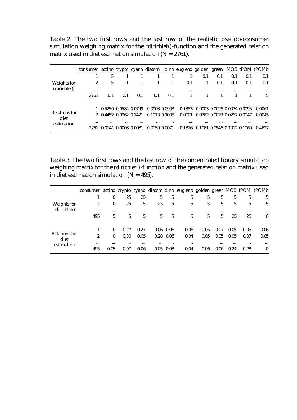Table 2. The two first rows and the last row of the realistic pseudo-consumer simulation weighing matrix for the *rdirichlet()*-function and the generated relation matrix used in diet estimation simulation ( $N = 2761$ ).

|                       | consumer |                        |               |          |               |          | actino crypto cyano diatom dino eugleno golden green MOB tPOM tPOMb |          |                             |          |          |          |
|-----------------------|----------|------------------------|---------------|----------|---------------|----------|---------------------------------------------------------------------|----------|-----------------------------|----------|----------|----------|
|                       |          | 5                      |               |          |               |          |                                                                     | 0.1      | 0.1                         | 0.1      | 0.1      | 0.1      |
| Weights for           |          | 5                      |               |          |               | 1.       | 0.1                                                                 |          | 0.1                         | 0.1      | 0.1      | 0.1      |
| rdirichlet()          | $\cdots$ | $\cdots$               | $\cdots$      | $\cdots$ | $\cdots$      | $\cdots$ | $\cdots$                                                            | $\cdots$ |                             | $\cdots$ | $\cdots$ | $\cdots$ |
|                       | 2761     | 0.1                    | 0.1           | 0.1      | 0.1           | 0.1      |                                                                     |          |                             |          |          | 5        |
|                       |          |                        |               |          |               |          |                                                                     |          |                             |          |          |          |
|                       |          | 1 0.5250 0.0584 0.0749 |               |          | 0.0903 0.0903 |          | 0.1353                                                              |          | 0.0003 0.0026 0.0074 0.0095 |          |          | 0.0061   |
| Relations for<br>diet |          | 2 0.4452 0.0962 0.1421 |               |          | 0.1013 0.1008 |          | 0.0001                                                              |          | 0.0762 0.0023 0.0267 0.0047 |          |          | 0.0045   |
| estimation            | $\cdots$ | $\cdots$               | $\cdots$      | $\cdots$ | $\cdots$      | $\cdots$ | $\cdots$                                                            | $\cdots$ | $\cdots$                    | $\cdots$ | $\cdots$ | $\cdots$ |
|                       | 2761     | 0.0141                 | 0.0008 0.0081 |          | 0.0059 0.0071 |          | 0.1326                                                              |          | 0.1061 0.0546 0.1012 0.1069 |          |          | 0.4627   |

Table 3. The two first rows and the last row of the concentrated library simulation weighing matrix for the *rdirichlet()*-function and the generated relation matrix used in diet estimation simulation ( $N = 495$ ).

|                       | consumer |          |          |          |          |             | actino crypto cyano diatom dino eugleno golden green MOB tPOM tPOMb |          |          |          |          |          |
|-----------------------|----------|----------|----------|----------|----------|-------------|---------------------------------------------------------------------|----------|----------|----------|----------|----------|
| Weights for           |          |          | 25       | 25       | 5        | 5           | 5                                                                   | 5        | 5        | 5        | 5        | 5        |
|                       | 2        | $\Omega$ | 25       | 5        | 25       | 5           | 5                                                                   | 5        | 5        | 5        | 5        | 5        |
| rdirichlet()          | $\cdots$ | $\cdots$ | $\cdots$ | $\cdots$ |          | $\cdots$    | $\cdots$                                                            | $\cdots$ | $\cdots$ | $\cdots$ | $\cdots$ | $\cdots$ |
|                       | 495      | 5        | 5        | 5        | 5        | 5           | 5                                                                   | 5        | 5        | 25       | 25       | $\Omega$ |
|                       |          |          |          |          |          |             |                                                                     |          |          |          |          |          |
|                       |          | $\Omega$ | 0.27     | 0.27     |          | $0.06$ 0.06 | 0.06                                                                | 0.05     | 0.07     | 0.05     | 0.05     | 0.06     |
| Relations for<br>diet | 2        | $\Omega$ | 0.30     | 0.05     |          | $0.28$ 0.06 | 0.04                                                                | 0.05     | 0.05     | 0.05     | 0.07     | 0.05     |
| estimation            |          | $\cdots$ | $\cdots$ | $\cdots$ | $\cdots$ | $\cdots$    | $\cdots$                                                            | $\cdots$ | $\cdots$ | $\cdots$ | $\cdots$ | $\cdots$ |
|                       | 495      | 0.05     | 0.07     | 0.06     | 0.05     | 0.08        | 0.04                                                                | 0.06     | 0.06     | 0.24     | 0.28     | 0        |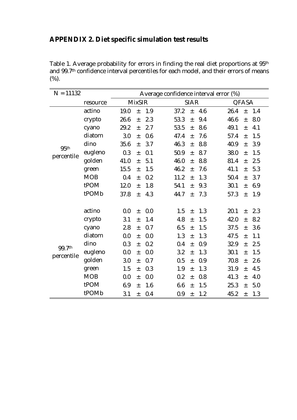# <span id="page-56-0"></span>**APPENDIX 2. Diet specific simulation test results**

Table 1. Average probability for errors in finding the real diet proportions at 95th and 99.7<sup>th</sup> confidence interval percentiles for each model, and their errors of means (%).

| $N = 11132$          | Average confidence interval error (%) |               |       |     |      |             |     |      |       |     |  |
|----------------------|---------------------------------------|---------------|-------|-----|------|-------------|-----|------|-------|-----|--|
|                      | resource                              | <b>MixSIR</b> |       |     |      | <b>SIAR</b> |     |      | QFASA |     |  |
| 95th<br>percentile   | actino                                | 19.0          | $\pm$ | 1.9 | 37.2 | $\pm$       | 4.6 | 26.4 | $\pm$ | 1.4 |  |
|                      | crypto                                | 26.6          | $\pm$ | 2.3 | 53.3 | $\pm$       | 9.4 | 46.6 | $\pm$ | 8.0 |  |
|                      | cyano                                 | 29.2          | $\pm$ | 2.7 | 53.5 | $\pm$       | 8.6 | 49.1 | $\pm$ | 4.1 |  |
|                      | diatom                                | 3.0           | $\pm$ | 0.6 | 47.4 | $+$         | 7.6 | 57.4 | $\pm$ | 1.5 |  |
|                      | dino                                  | 35.6          | $\pm$ | 3.7 | 46.3 | $\pm$       | 8.8 | 40.9 | $\pm$ | 3.9 |  |
|                      | eugleno                               | 0.3           | $\pm$ | 0.1 | 50.9 | $\pm$       | 8.7 | 38.0 | $\pm$ | 1.5 |  |
|                      | golden                                | 41.0          | $\pm$ | 5.1 | 46.0 | $\pm$       | 8.8 | 81.4 | $\pm$ | 2.5 |  |
|                      | green                                 | 15.5          | $\pm$ | 1.5 | 46.2 | $\pm$       | 7.6 | 41.1 | $\pm$ | 5.3 |  |
|                      | <b>MOB</b>                            | 0.4           | $\pm$ | 0.2 | 11.2 | $\pm$       | 1.3 | 50.4 | $\pm$ | 3.7 |  |
|                      | tPOM                                  | 12.0          | $\pm$ | 1.8 | 54.1 | $\pm$       | 9.3 | 30.1 | $\pm$ | 6.9 |  |
|                      | tPOMb                                 | 37.8          | $\pm$ | 4.3 | 44.7 | $\pm$       | 7.3 | 57.3 | $\pm$ | 1.9 |  |
|                      |                                       |               |       |     |      |             |     |      |       |     |  |
|                      | actino                                | 0.0           | $\pm$ | 0.0 | 1.5  | $\pm$       | 1.3 | 20.1 | $\pm$ | 2.3 |  |
|                      | crypto                                | 3.1           | $\pm$ | 1.4 | 4.8  | $\pm$       | 1.5 | 42.0 | $\pm$ | 8.2 |  |
|                      | cyano                                 | 2.8           | $\pm$ | 0.7 | 6.5  | $\pm$       | 1.5 | 37.5 | $\pm$ | 3.6 |  |
| 99.7th<br>percentile | diatom                                | 0.0           | $\pm$ | 0.0 | 1.3  | $\pm$       | 1.3 | 47.5 | $\pm$ | 1.1 |  |
|                      | dino                                  | 0.3           | $\pm$ | 0.2 | 0.4  | $\pm$       | 0.9 | 32.9 | $\pm$ | 2.5 |  |
|                      | eugleno                               | 0.0           | $\pm$ | 0.0 | 3.2  | $\pm$       | 1.3 | 30.1 | $\pm$ | 1.5 |  |
|                      | golden                                | 3.0           | $\pm$ | 0.7 | 0.5  | $\pm$       | 0.9 | 70.8 | $\pm$ | 2.6 |  |
|                      | green                                 | 1.5           | $\pm$ | 0.3 | 1.9  | $\pm$       | 1.3 | 31.9 | $\pm$ | 4.5 |  |
|                      | <b>MOB</b>                            | 0.0           | $\pm$ | 0.0 | 0.2  | $\pm$       | 0.8 | 41.3 | $\pm$ | 4.0 |  |
|                      | tPOM                                  | 6.9           | $\pm$ | 1.6 | 6.6  | $\pm$       | 1.5 | 25.3 | $\pm$ | 5.0 |  |
|                      | tPOMb                                 | 3.1           | $\pm$ | 0.4 | 0.9  | $\pm$       | 1.2 | 45.2 | $\pm$ | 1.3 |  |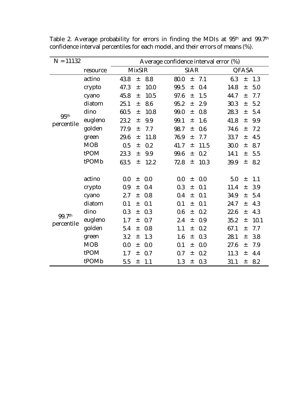| $N = 11132$          |            | Average confidence interval error (%) |               |      |             |       |      |              |       |      |  |
|----------------------|------------|---------------------------------------|---------------|------|-------------|-------|------|--------------|-------|------|--|
|                      | resource   |                                       | <b>MixSIR</b> |      | <b>SIAR</b> |       |      | <b>QFASA</b> |       |      |  |
| 95 <sup>th</sup>     | actino     | 43.8                                  | $\pm$         | 8.8  | 80.0        | $\pm$ | 7.1  | 6.3          | $\pm$ | 1.3  |  |
|                      | crypto     | 47.3                                  | $\pm$         | 10.0 | 99.5        | $\pm$ | 0.4  | 14.8         | $\pm$ | 5.0  |  |
|                      | cyano      | 45.8                                  | $\pm$         | 10.5 | 97.6        | $\pm$ | 1.5  | 44.7         | $\pm$ | 7.7  |  |
|                      | diatom     | 25.1                                  | $\pm$         | 8.6  | 95.2        | $\pm$ | 2.9  | 30.3         | $\pm$ | 5.2  |  |
|                      | dino       | 60.5                                  | $\pm$         | 10.8 | 99.0        | $\pm$ | 0.8  | 28.3         | $\pm$ | 5.4  |  |
| percentile           | eugleno    | 23.2                                  | $\pm$         | 9.9  | 99.1        | $\pm$ | 1.6  | 41.8         | $\pm$ | 9.9  |  |
|                      | golden     | 77.9                                  | $\pm$         | 7.7  | 98.7        | $\pm$ | 0.6  | 74.6         | $\pm$ | 7.2  |  |
|                      | green      | 29.6                                  | $\pm$         | 11.8 | 76.9        | $\pm$ | 7.7  | 33.7         | $\pm$ | 4.5  |  |
|                      | <b>MOB</b> | 0.5                                   | $\pm$         | 0.2  | 41.7        | $\pm$ | 11.5 | 30.0         | $\pm$ | 8.7  |  |
|                      | tPOM       | 23.3                                  | $\pm$         | 9.9  | 99.6        | $\pm$ | 0.2  | 14.1         | 土     | 5.5  |  |
|                      | tPOMb      | 63.5                                  | $\pm$         | 12.2 | 72.8        | $\pm$ | 10.3 | 39.9         | 土     | 8.2  |  |
|                      |            |                                       |               |      |             |       |      |              |       |      |  |
|                      | actino     | 0.0                                   | $\pm$         | 0.0  | 0.0         | $\pm$ | 0.0  | 5.0          | $\pm$ | 1.1  |  |
|                      | crypto     | 0.9                                   | 土             | 0.4  | 0.3         | $\pm$ | 0.1  | 11.4         | 土     | 3.9  |  |
|                      | cyano      | 2.7                                   | $\pm$         | 0.8  | 0.4         | $\pm$ | 0.1  | 34.9         | $\pm$ | 5.4  |  |
| 99.7th<br>percentile | diatom     | 0.1                                   | $\pm$         | 0.1  | 0.1         | $\pm$ | 0.1  | 24.7         | $\pm$ | 4.3  |  |
|                      | dino       | 0.3                                   | $\pm$         | 0.3  | 0.6         | $\pm$ | 0.2  | 22.6         | $\pm$ | 4.3  |  |
|                      | eugleno    | 1.7                                   | $\pm$         | 0.7  | 2.4         | $\pm$ | 0.9  | 35.2         | $\pm$ | 10.1 |  |
|                      | golden     | 5.4                                   | $\pm$         | 0.8  | 1.1         | $\pm$ | 0.2  | 67.1         | $\pm$ | 7.7  |  |
|                      | green      | 3.2                                   | $\pm$         | 1.3  | 1.6         | $\pm$ | 0.3  | 28.1         | $\pm$ | 3.8  |  |
|                      | <b>MOB</b> | 0.0                                   | $\pm$         | 0.0  | 0.1         | $\pm$ | 0.0  | 27.6         | $\pm$ | 7.9  |  |
|                      | tPOM       | 1.7                                   | $\pm$         | 0.7  | 0.7         | $\pm$ | 0.2  | 11.3         | $\pm$ | 4.4  |  |
|                      | tPOMb      | 5.5                                   | $\pm$         | 1.1  | 1.3         | $\pm$ | 0.3  | 31.1         | $\pm$ | 8.2  |  |

Table 2. Average probability for errors in finding the MDIs at 95th and 99.7th confidence interval percentiles for each model, and their errors of means (%).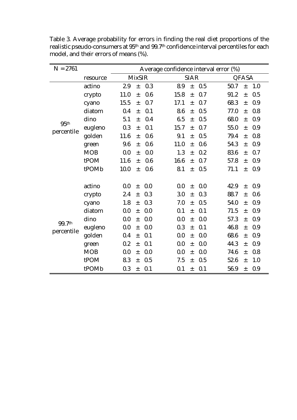| $N = 2761$                     |            | Average confidence interval error (%) |       |     |      |             |     |      |       |     |  |
|--------------------------------|------------|---------------------------------------|-------|-----|------|-------------|-----|------|-------|-----|--|
|                                | resource   | <b>MixSIR</b>                         |       |     |      | <b>SIAR</b> |     |      | QFASA |     |  |
|                                | actino     | 2.9                                   | $\pm$ | 0.3 | 8.9  | $\pm$       | 0.5 | 50.7 | $\pm$ | 1.0 |  |
|                                | crypto     | 11.0                                  | $\pm$ | 0.6 | 15.8 | $\pm$       | 0.7 | 91.2 | $\pm$ | 0.5 |  |
|                                | cyano      | 15.5                                  | $\pm$ | 0.7 | 17.1 | $\pm$       | 0.7 | 68.3 | $\pm$ | 0.9 |  |
|                                | diatom     | 0.4                                   | $\pm$ | 0.1 | 8.6  | $\pm$       | 0.5 | 77.0 | $\pm$ | 0.8 |  |
|                                | dino       | 5.1                                   | $\pm$ | 0.4 | 6.5  | $\pm$       | 0.5 | 68.0 | $\pm$ | 0.9 |  |
| 95 <sup>th</sup><br>percentile | eugleno    | 0.3                                   | $\pm$ | 0.1 | 15.7 | $\pm$       | 0.7 | 55.0 | $\pm$ | 0.9 |  |
|                                | golden     | 11.6                                  | $\pm$ | 0.6 | 9.1  | $\pm$       | 0.5 | 79.4 | $\pm$ | 0.8 |  |
|                                | green      | 9.6                                   | $\pm$ | 0.6 | 11.0 | $\pm$       | 0.6 | 54.3 | $\pm$ | 0.9 |  |
|                                | <b>MOB</b> | 0.0                                   | $\pm$ | 0.0 | 1.3  | $\pm$       | 0.2 | 83.6 | $\pm$ | 0.7 |  |
|                                | tPOM       | 11.6                                  | $\pm$ | 0.6 | 16.6 | $\pm$       | 0.7 | 57.8 | $\pm$ | 0.9 |  |
|                                | tPOMb      | 10.0                                  | $\pm$ | 0.6 | 8.1  | $\pm$       | 0.5 | 71.1 | $\pm$ | 0.9 |  |
|                                |            |                                       |       |     |      |             |     |      |       |     |  |
|                                | actino     | 0.0                                   | $\pm$ | 0.0 | 0.0  | $\pm$       | 0.0 | 42.9 | $\pm$ | 0.9 |  |
|                                | crypto     | 2.4                                   | $\pm$ | 0.3 | 3.0  | $\pm$       | 0.3 | 88.7 | $\pm$ | 0.6 |  |
|                                | cyano      | 1.8                                   | $\pm$ | 0.3 | 7.0  | $\pm$       | 0.5 | 54.0 | $\pm$ | 0.9 |  |
| 99.7th<br>percentile           | diatom     | 0.0                                   | $\pm$ | 0.0 | 0.1  | $\pm$       | 0.1 | 71.5 | $\pm$ | 0.9 |  |
|                                | dino       | 0.0                                   | $\pm$ | 0.0 | 0.0  | $\pm$       | 0.0 | 57.3 | $\pm$ | 0.9 |  |
|                                | eugleno    | 0.0                                   | $\pm$ | 0.0 | 0.3  | $\pm$       | 0.1 | 46.8 | $\pm$ | 0.9 |  |
|                                | golden     | 0.4                                   | $\pm$ | 0.1 | 0.0  | $\pm$       | 0.0 | 68.6 | $\pm$ | 0.9 |  |
|                                | green      | 0.2                                   | $\pm$ | 0.1 | 0.0  | $\pm$       | 0.0 | 44.3 | $\pm$ | 0.9 |  |
|                                | <b>MOB</b> | 0.0                                   | $\pm$ | 0.0 | 0.0  | $\pm$       | 0.0 | 74.6 | $\pm$ | 0.8 |  |
|                                | tPOM       | 8.3                                   | $\pm$ | 0.5 | 7.5  | $\pm$       | 0.5 | 52.6 | $\pm$ | 1.0 |  |
|                                | tPOMb      | 0.3                                   | $\pm$ | 0.1 | 0.1  | $\pm$       | 0.1 | 56.9 | $\pm$ | 0.9 |  |

Table 3. Average probability for errors in finding the real diet proportions of the realistic pseudo-consumers at 95th and 99.7th confidence interval percentiles for each model, and their errors of means (%).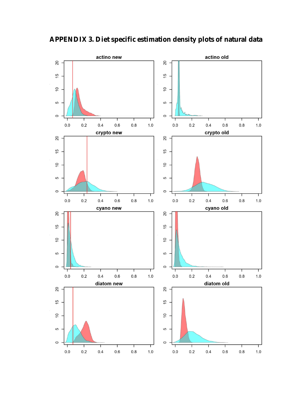

<span id="page-59-0"></span>**APPENDIX 3. Diet specific estimation density plots of natural data**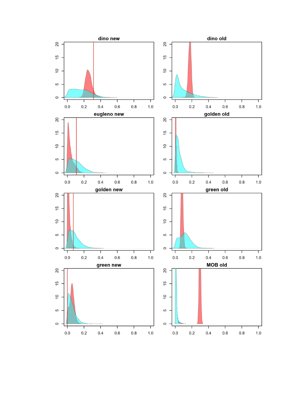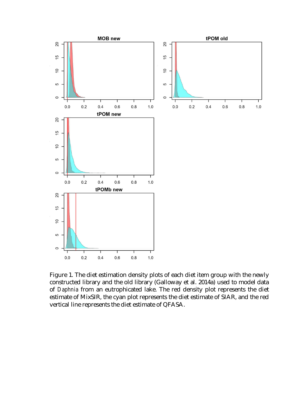

Figure 1. The diet estimation density plots of each diet item group with the newly constructed library and the old library (Galloway et al. 2014a) used to model data of *Daphnia* from an eutrophicated lake. The red density plot represents the diet estimate of MixSIR, the cyan plot represents the diet estimate of SIAR, and the red vertical line represents the diet estimate of QFASA.